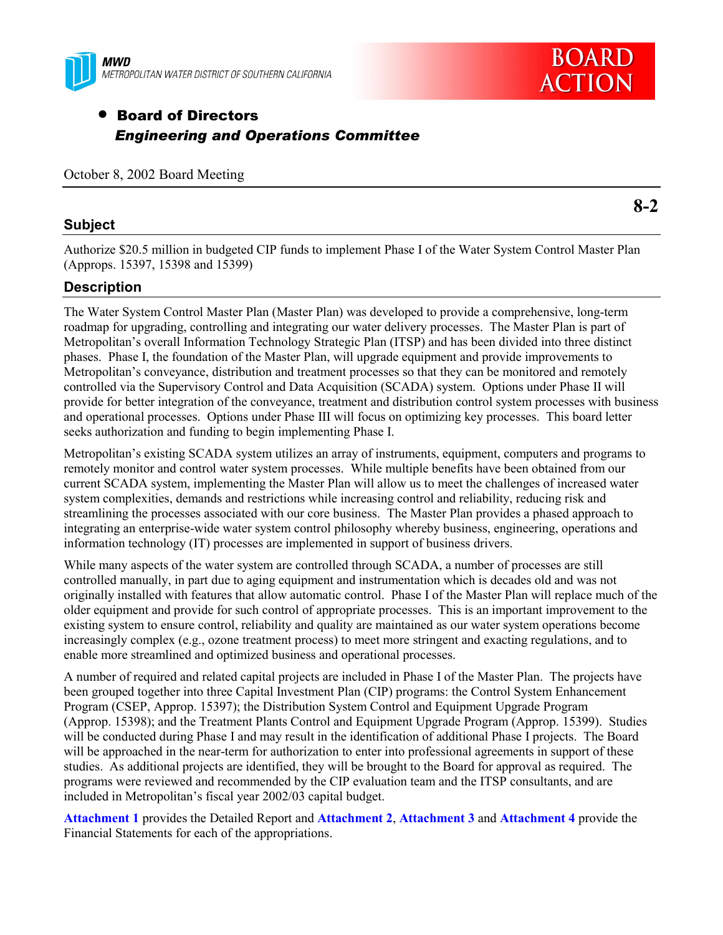

# • Board of Directors *Engineering and Operations Committee*

## **Subject**

**8-2**

Authorize \$20.5 million in budgeted CIP funds to implement Phase I of the Water System Control Master Plan (Approps. 15397, 15398 and 15399)

## **Description**

The Water System Control Master Plan (Master Plan) was developed to provide a comprehensive, long-term roadmap for upgrading, controlling and integrating our water delivery processes. The Master Plan is part of Metropolitanís overall Information Technology Strategic Plan (ITSP) and has been divided into three distinct phases. Phase I, the foundation of the Master Plan, will upgrade equipment and provide improvements to Metropolitan's conveyance, distribution and treatment processes so that they can be monitored and remotely controlled via the Supervisory Control and Data Acquisition (SCADA) system. Options under Phase II will provide for better integration of the conveyance, treatment and distribution control system processes with business and operational processes. Options under Phase III will focus on optimizing key processes. This board letter seeks authorization and funding to begin implementing Phase I.

Metropolitan's existing SCADA system utilizes an array of instruments, equipment, computers and programs to remotely monitor and control water system processes. While multiple benefits have been obtained from our current SCADA system, implementing the Master Plan will allow us to meet the challenges of increased water system complexities, demands and restrictions while increasing control and reliability, reducing risk and streamlining the processes associated with our core business. The Master Plan provides a phased approach to integrating an enterprise-wide water system control philosophy whereby business, engineering, operations and information technology (IT) processes are implemented in support of business drivers.

While many aspects of the water system are controlled through SCADA, a number of processes are still controlled manually, in part due to aging equipment and instrumentation which is decades old and was not originally installed with features that allow automatic control. Phase I of the Master Plan will replace much of the older equipment and provide for such control of appropriate processes. This is an important improvement to the existing system to ensure control, reliability and quality are maintained as our water system operations become increasingly complex (e.g., ozone treatment process) to meet more stringent and exacting regulations, and to enable more streamlined and optimized business and operational processes.

A number of required and related capital projects are included in Phase I of the Master Plan. The projects have been grouped together into three Capital Investment Plan (CIP) programs: the Control System Enhancement Program (CSEP, Approp. 15397); the Distribution System Control and Equipment Upgrade Program (Approp. 15398); and the Treatment Plants Control and Equipment Upgrade Program (Approp. 15399). Studies will be conducted during Phase I and may result in the identification of additional Phase I projects. The Board will be approached in the near-term for authorization to enter into professional agreements in support of these studies. As additional projects are identified, they will be brought to the Board for approval as required. The programs were reviewed and recommended by the CIP evaluation team and the ITSP consultants, and are included in Metropolitan's fiscal year 2002/03 capital budget.

**Attachment 1** provides the Detailed Report and **Attachment 2**, **Attachment 3** and **Attachment 4** provide the Financial Statements for each of the appropriations.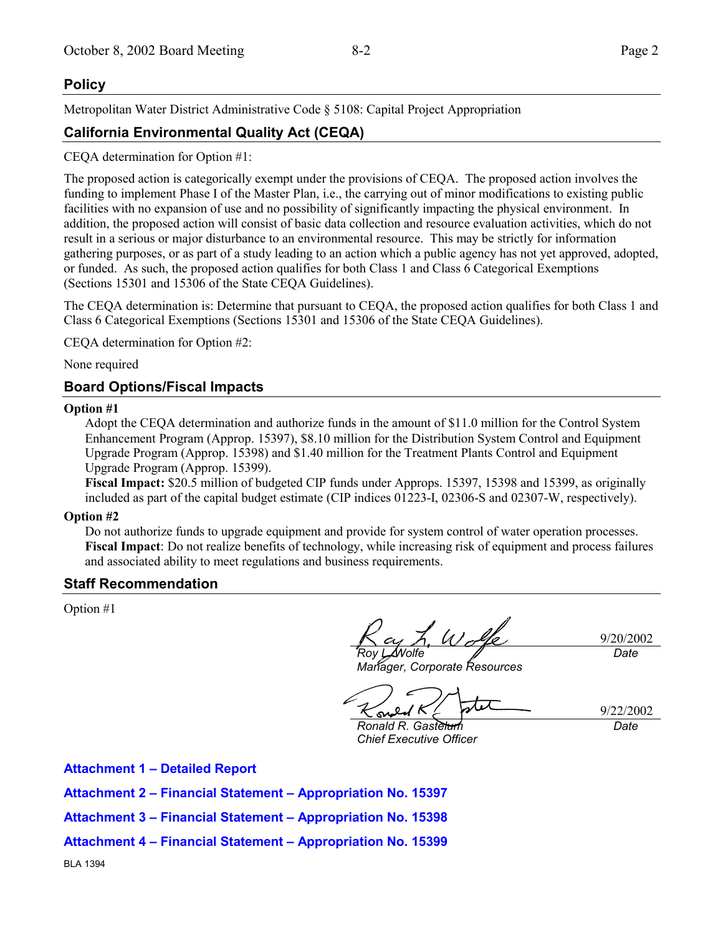## **Policy**

Metropolitan Water District Administrative Code ß 5108: Capital Project Appropriation

## **California Environmental Quality Act (CEQA)**

CEQA determination for Option #1:

The proposed action is categorically exempt under the provisions of CEQA. The proposed action involves the funding to implement Phase I of the Master Plan, i.e., the carrying out of minor modifications to existing public facilities with no expansion of use and no possibility of significantly impacting the physical environment. In addition, the proposed action will consist of basic data collection and resource evaluation activities, which do not result in a serious or major disturbance to an environmental resource. This may be strictly for information gathering purposes, or as part of a study leading to an action which a public agency has not yet approved, adopted, or funded. As such, the proposed action qualifies for both Class 1 and Class 6 Categorical Exemptions (Sections 15301 and 15306 of the State CEQA Guidelines).

The CEQA determination is: Determine that pursuant to CEQA, the proposed action qualifies for both Class 1 and Class 6 Categorical Exemptions (Sections 15301 and 15306 of the State CEQA Guidelines).

CEQA determination for Option #2:

None required

## **Board Options/Fiscal Impacts**

## **Option #1**

Adopt the CEQA determination and authorize funds in the amount of \$11.0 million for the Control System Enhancement Program (Approp. 15397), \$8.10 million for the Distribution System Control and Equipment Upgrade Program (Approp. 15398) and \$1.40 million for the Treatment Plants Control and Equipment Upgrade Program (Approp. 15399).

**Fiscal Impact:** \$20.5 million of budgeted CIP funds under Approps. 15397, 15398 and 15399, as originally included as part of the capital budget estimate (CIP indices 01223-I, 02306-S and 02307-W, respectively).

### **Option #2**

Do not authorize funds to upgrade equipment and provide for system control of water operation processes. **Fiscal Impact**: Do not realize benefits of technology, while increasing risk of equipment and process failures and associated ability to meet regulations and business requirements.

## **Staff Recommendation**

Option #1

L Walte *Roy L. Wolfe*

*Manager, Corporate Resources*

9/20/2002 *Date*

su

9/22/2002 *Date*

*Ronald R. Gastelum Chief Executive Officer*

**Attachment 1 - Detailed Report** 

**Attachment 2 – Financial Statement – Appropriation No. 15397** 

**Attachment 3 – Financial Statement – Appropriation No. 15398** 

**Attachment 4 – Financial Statement – Appropriation No. 15399**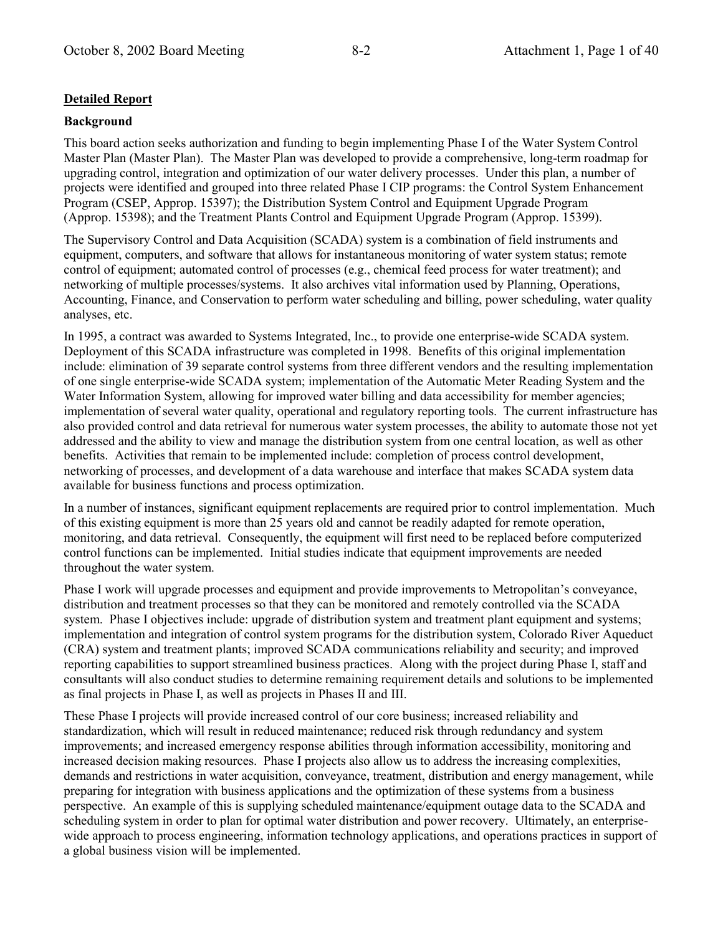### **Detailed Report**

### **Background**

This board action seeks authorization and funding to begin implementing Phase I of the Water System Control Master Plan (Master Plan). The Master Plan was developed to provide a comprehensive, long-term roadmap for upgrading control, integration and optimization of our water delivery processes. Under this plan, a number of projects were identified and grouped into three related Phase I CIP programs: the Control System Enhancement Program (CSEP, Approp. 15397): the Distribution System Control and Equipment Upgrade Program (Approp. 15398); and the Treatment Plants Control and Equipment Upgrade Program (Approp. 15399).

The Supervisory Control and Data Acquisition (SCADA) system is a combination of field instruments and equipment, computers, and software that allows for instantaneous monitoring of water system status; remote control of equipment; automated control of processes (e.g., chemical feed process for water treatment); and networking of multiple processes/systems. It also archives vital information used by Planning, Operations, Accounting, Finance, and Conservation to perform water scheduling and billing, power scheduling, water quality analyses, etc.

In 1995, a contract was awarded to Systems Integrated, Inc., to provide one enterprise-wide SCADA system. Deployment of this SCADA infrastructure was completed in 1998. Benefits of this original implementation include: elimination of 39 separate control systems from three different vendors and the resulting implementation of one single enterprise-wide SCADA system; implementation of the Automatic Meter Reading System and the Water Information System, allowing for improved water billing and data accessibility for member agencies; implementation of several water quality, operational and regulatory reporting tools. The current infrastructure has also provided control and data retrieval for numerous water system processes, the ability to automate those not yet addressed and the ability to view and manage the distribution system from one central location, as well as other benefits. Activities that remain to be implemented include: completion of process control development, networking of processes, and development of a data warehouse and interface that makes SCADA system data available for business functions and process optimization.

In a number of instances, significant equipment replacements are required prior to control implementation. Much of this existing equipment is more than 25 years old and cannot be readily adapted for remote operation, monitoring, and data retrieval. Consequently, the equipment will first need to be replaced before computerized control functions can be implemented. Initial studies indicate that equipment improvements are needed throughout the water system.

Phase I work will upgrade processes and equipment and provide improvements to Metropolitan's convevance. distribution and treatment processes so that they can be monitored and remotely controlled via the SCADA system. Phase I objectives include: upgrade of distribution system and treatment plant equipment and systems; implementation and integration of control system programs for the distribution system, Colorado River Aqueduct (CRA) system and treatment plants; improved SCADA communications reliability and security; and improved reporting capabilities to support streamlined business practices. Along with the project during Phase I, staff and consultants will also conduct studies to determine remaining requirement details and solutions to be implemented as final projects in Phase I, as well as projects in Phases II and III.

These Phase I projects will provide increased control of our core business; increased reliability and standardization, which will result in reduced maintenance; reduced risk through redundancy and system improvements; and increased emergency response abilities through information accessibility, monitoring and increased decision making resources. Phase I projects also allow us to address the increasing complexities, demands and restrictions in water acquisition, conveyance, treatment, distribution and energy management, while preparing for integration with business applications and the optimization of these systems from a business perspective. An example of this is supplying scheduled maintenance/equipment outage data to the SCADA and scheduling system in order to plan for optimal water distribution and power recovery. Ultimately, an enterprisewide approach to process engineering, information technology applications, and operations practices in support of a global business vision will be implemented.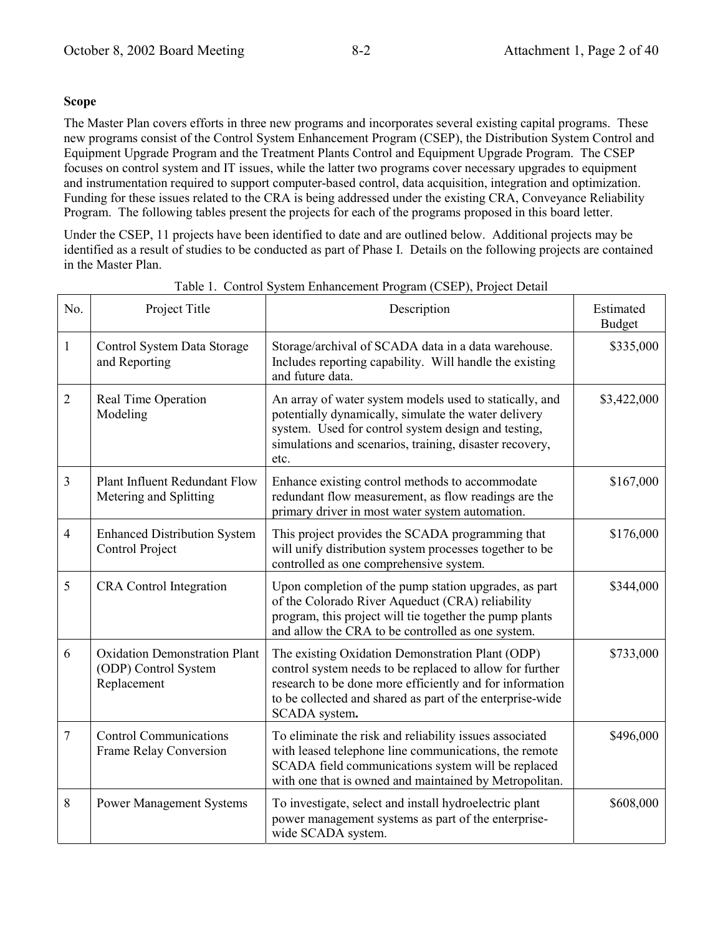### **Scope**

The Master Plan covers efforts in three new programs and incorporates several existing capital programs. These new programs consist of the Control System Enhancement Program (CSEP), the Distribution System Control and Equipment Upgrade Program and the Treatment Plants Control and Equipment Upgrade Program. The CSEP focuses on control system and IT issues, while the latter two programs cover necessary upgrades to equipment and instrumentation required to support computer-based control, data acquisition, integration and optimization. Funding for these issues related to the CRA is being addressed under the existing CRA, Conveyance Reliability Program. The following tables present the projects for each of the programs proposed in this board letter.

Under the CSEP, 11 projects have been identified to date and are outlined below. Additional projects may be identified as a result of studies to be conducted as part of Phase I. Details on the following projects are contained in the Master Plan.

| No.            | Project Title                                                               | Description                                                                                                                                                                                                                                            | Estimated<br><b>Budget</b> |
|----------------|-----------------------------------------------------------------------------|--------------------------------------------------------------------------------------------------------------------------------------------------------------------------------------------------------------------------------------------------------|----------------------------|
| $\mathbf{1}$   | Control System Data Storage<br>and Reporting                                | Storage/archival of SCADA data in a data warehouse.<br>Includes reporting capability. Will handle the existing<br>and future data.                                                                                                                     | \$335,000                  |
| $\overline{2}$ | Real Time Operation<br>Modeling                                             | An array of water system models used to statically, and<br>potentially dynamically, simulate the water delivery<br>system. Used for control system design and testing,<br>simulations and scenarios, training, disaster recovery,<br>etc.              | \$3,422,000                |
| $\overline{3}$ | Plant Influent Redundant Flow<br>Metering and Splitting                     | Enhance existing control methods to accommodate<br>redundant flow measurement, as flow readings are the<br>primary driver in most water system automation.                                                                                             | \$167,000                  |
| $\overline{4}$ | <b>Enhanced Distribution System</b><br>Control Project                      | This project provides the SCADA programming that<br>will unify distribution system processes together to be<br>controlled as one comprehensive system.                                                                                                 | \$176,000                  |
| 5              | <b>CRA</b> Control Integration                                              | Upon completion of the pump station upgrades, as part<br>of the Colorado River Aqueduct (CRA) reliability<br>program, this project will tie together the pump plants<br>and allow the CRA to be controlled as one system.                              | \$344,000                  |
| 6              | <b>Oxidation Demonstration Plant</b><br>(ODP) Control System<br>Replacement | The existing Oxidation Demonstration Plant (ODP)<br>control system needs to be replaced to allow for further<br>research to be done more efficiently and for information<br>to be collected and shared as part of the enterprise-wide<br>SCADA system. | \$733,000                  |
| $\tau$         | <b>Control Communications</b><br>Frame Relay Conversion                     | To eliminate the risk and reliability issues associated<br>with leased telephone line communications, the remote<br>SCADA field communications system will be replaced<br>with one that is owned and maintained by Metropolitan.                       | \$496,000                  |
| 8              | <b>Power Management Systems</b>                                             | To investigate, select and install hydroelectric plant<br>power management systems as part of the enterprise-<br>wide SCADA system.                                                                                                                    | \$608,000                  |

Table 1. Control System Enhancement Program (CSEP), Project Detail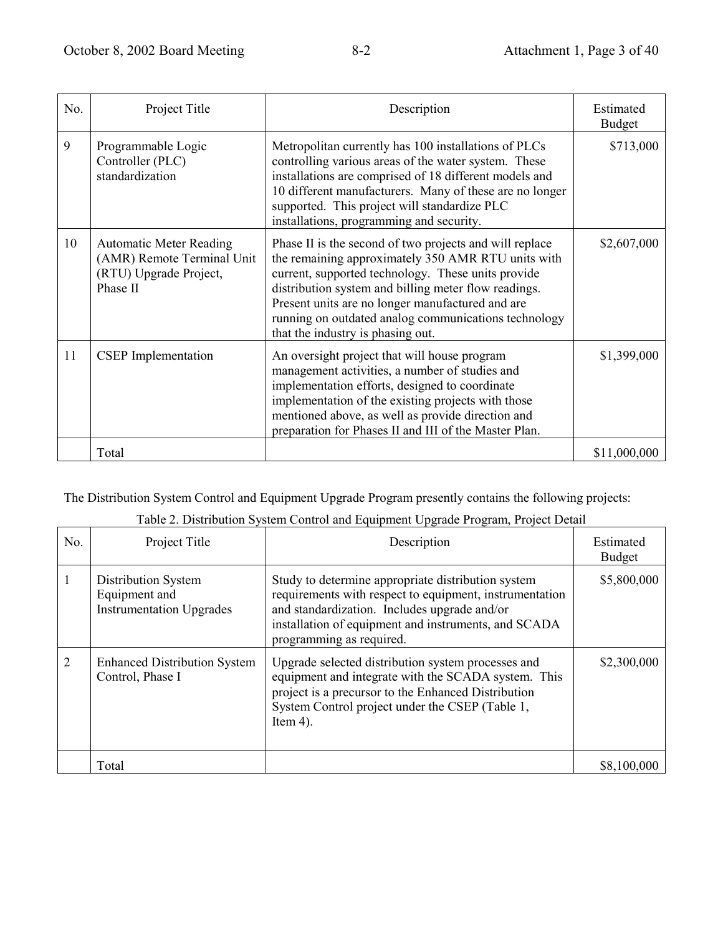| No. | Project Title                                                                                      | Description                                                                                                                                                                                                                                                                                                                                                                  | Estimated<br><b>Budget</b> |
|-----|----------------------------------------------------------------------------------------------------|------------------------------------------------------------------------------------------------------------------------------------------------------------------------------------------------------------------------------------------------------------------------------------------------------------------------------------------------------------------------------|----------------------------|
| 9   | Programmable Logic<br>Controller (PLC)<br>standardization                                          | Metropolitan currently has 100 installations of PLCs<br>controlling various areas of the water system. These<br>installations are comprised of 18 different models and<br>10 different manufacturers. Many of these are no longer<br>supported. This project will standardize PLC<br>installations, programming and security.                                                | \$713,000                  |
| 10  | <b>Automatic Meter Reading</b><br>(AMR) Remote Terminal Unit<br>(RTU) Upgrade Project,<br>Phase II | Phase II is the second of two projects and will replace<br>the remaining approximately 350 AMR RTU units with<br>current, supported technology. These units provide<br>distribution system and billing meter flow readings.<br>Present units are no longer manufactured and are<br>running on outdated analog communications technology<br>that the industry is phasing out. | \$2,607,000                |
| 11  | <b>CSEP</b> Implementation                                                                         | An oversight project that will house program<br>management activities, a number of studies and<br>implementation efforts, designed to coordinate<br>implementation of the existing projects with those<br>mentioned above, as well as provide direction and<br>preparation for Phases II and III of the Master Plan.                                                         | \$1,399,000                |
|     | Total                                                                                              |                                                                                                                                                                                                                                                                                                                                                                              | \$11,000,000               |

The Distribution System Control and Equipment Upgrade Program presently contains the following projects:

| No.                         | Project Title                                                                  | Description                                                                                                                                                                                                                                       | Estimated<br><b>Budget</b> |
|-----------------------------|--------------------------------------------------------------------------------|---------------------------------------------------------------------------------------------------------------------------------------------------------------------------------------------------------------------------------------------------|----------------------------|
|                             | <b>Distribution System</b><br>Equipment and<br><b>Instrumentation Upgrades</b> | Study to determine appropriate distribution system<br>requirements with respect to equipment, instrumentation<br>and standardization. Includes upgrade and/or<br>installation of equipment and instruments, and SCADA<br>programming as required. | \$5,800,000                |
| $\mathcal{D}_{\mathcal{L}}$ | <b>Enhanced Distribution System</b><br>Control, Phase I                        | Upgrade selected distribution system processes and<br>equipment and integrate with the SCADA system. This<br>project is a precursor to the Enhanced Distribution<br>System Control project under the CSEP (Table 1,<br>Item $4$ ).                | \$2,300,000                |
|                             | Total                                                                          |                                                                                                                                                                                                                                                   | \$8,100,000                |

Table 2. Distribution System Control and Equipment Upgrade Program, Project Detail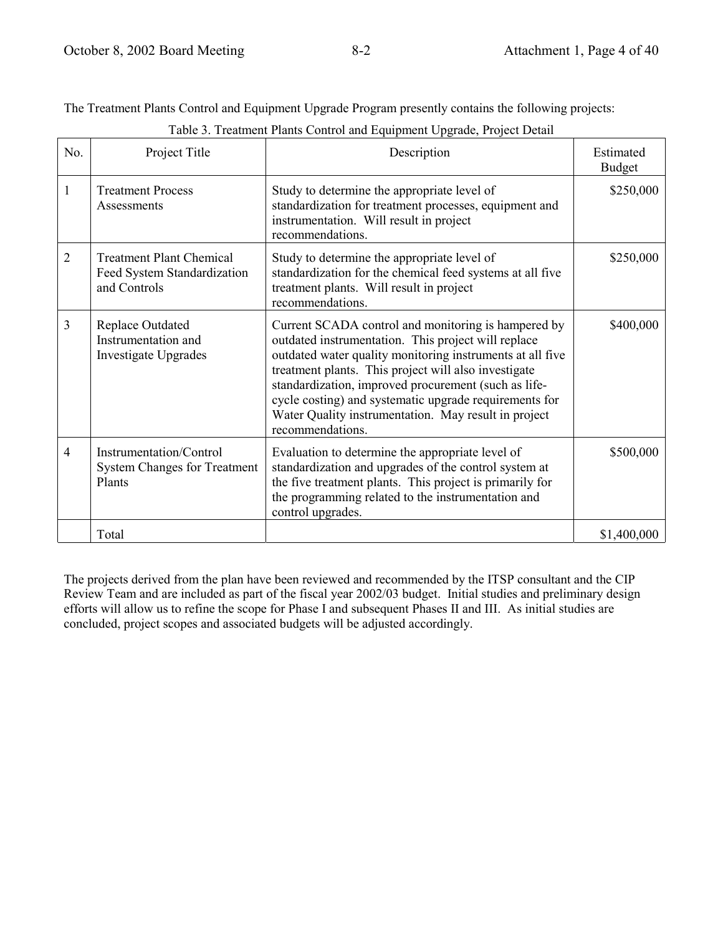The Treatment Plants Control and Equipment Upgrade Program presently contains the following projects:

| No.            | Project Title                                                                  | Description                                                                                                                                                                                                                                                                                                                                                                                                                   | Estimated<br><b>Budget</b> |
|----------------|--------------------------------------------------------------------------------|-------------------------------------------------------------------------------------------------------------------------------------------------------------------------------------------------------------------------------------------------------------------------------------------------------------------------------------------------------------------------------------------------------------------------------|----------------------------|
| 1              | <b>Treatment Process</b><br>Assessments                                        | Study to determine the appropriate level of<br>standardization for treatment processes, equipment and<br>instrumentation. Will result in project<br>recommendations.                                                                                                                                                                                                                                                          | \$250,000                  |
| $\overline{2}$ | <b>Treatment Plant Chemical</b><br>Feed System Standardization<br>and Controls | Study to determine the appropriate level of<br>standardization for the chemical feed systems at all five<br>treatment plants. Will result in project<br>recommendations.                                                                                                                                                                                                                                                      | \$250,000                  |
| 3              | <b>Replace Outdated</b><br>Instrumentation and<br><b>Investigate Upgrades</b>  | Current SCADA control and monitoring is hampered by<br>outdated instrumentation. This project will replace<br>outdated water quality monitoring instruments at all five<br>treatment plants. This project will also investigate<br>standardization, improved procurement (such as life-<br>cycle costing) and systematic upgrade requirements for<br>Water Quality instrumentation. May result in project<br>recommendations. | \$400,000                  |
| $\overline{4}$ | Instrumentation/Control<br><b>System Changes for Treatment</b><br>Plants       | Evaluation to determine the appropriate level of<br>standardization and upgrades of the control system at<br>the five treatment plants. This project is primarily for<br>the programming related to the instrumentation and<br>control upgrades.                                                                                                                                                                              | \$500,000                  |
|                | Total                                                                          |                                                                                                                                                                                                                                                                                                                                                                                                                               | \$1,400,000                |

Table 3. Treatment Plants Control and Equipment Upgrade, Project Detail

The projects derived from the plan have been reviewed and recommended by the ITSP consultant and the CIP Review Team and are included as part of the fiscal year 2002/03 budget. Initial studies and preliminary design efforts will allow us to refine the scope for Phase I and subsequent Phases II and III. As initial studies are concluded, project scopes and associated budgets will be adjusted accordingly.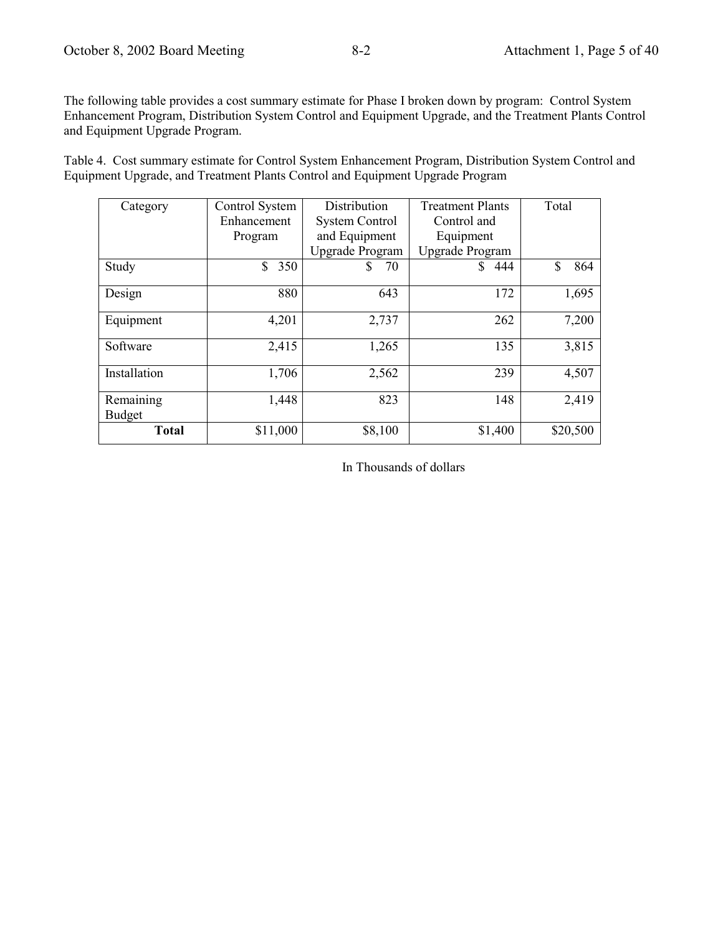The following table provides a cost summary estimate for Phase I broken down by program: Control System Enhancement Program, Distribution System Control and Equipment Upgrade, and the Treatment Plants Control and Equipment Upgrade Program.

Table 4. Cost summary estimate for Control System Enhancement Program, Distribution System Control and Equipment Upgrade, and Treatment Plants Control and Equipment Upgrade Program

| Category      | Control System | Distribution           | <b>Treatment Plants</b> | Total     |
|---------------|----------------|------------------------|-------------------------|-----------|
|               | Enhancement    | <b>System Control</b>  | Control and             |           |
|               | Program        | and Equipment          | Equipment               |           |
|               |                | <b>Upgrade Program</b> | <b>Upgrade Program</b>  |           |
| Study         | \$<br>350      | 70<br>S                | 444                     | \$<br>864 |
| Design        | 880            | 643                    | 172                     | 1,695     |
| Equipment     | 4,201          | 2,737                  | 262                     | 7,200     |
| Software      | 2,415          | 1,265                  | 135                     | 3,815     |
| Installation  | 1,706          | 2,562                  | 239                     | 4,507     |
| Remaining     | 1,448          | 823                    | 148                     | 2,419     |
| <b>Budget</b> |                |                        |                         |           |
| <b>Total</b>  | \$11,000       | \$8,100                | \$1,400                 | \$20,500  |

In Thousands of dollars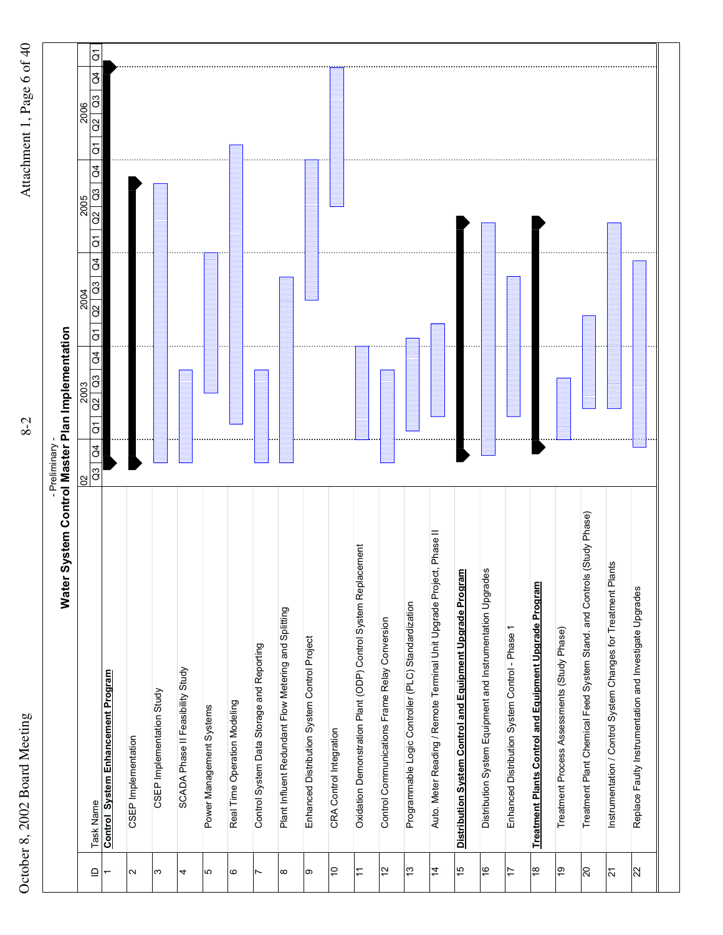

| š<br>ł                                                              |
|---------------------------------------------------------------------|
| $\overline{a}$                                                      |
| <b>Lage</b><br>ſ                                                    |
|                                                                     |
| $\begin{bmatrix} 1 \\ 1 \\ 1 \\ 1 \end{bmatrix}$<br>s<br>S<br>rann. |

| $\mathbb{C}^3$<br>$\tilde{c}$<br>$\overline{\mathrm{o}}$<br>$\beta$<br>$\frac{3}{2}$<br>$\overline{a}$<br>$\overline{c}$<br>$\beta$<br>$\mathfrak{S}$<br>$\mathcal{S}$<br>$\overline{\mathrm{o}}$<br>$\overline{a}$<br>$\overline{a}$<br>(Study Phase)<br>Auto. Meter Reading / Remote Terminal Unit Upgrade Project, Phase II<br>Oxidation Demonstration Plant (ODP) Control System Replacement<br>Instrumentation / Control System Changes for Treatment Plants<br>Distribution System Control and Equipment Upgrade Program<br>Distribution System Equipment and Instrumentation Upgrades<br>Treatment Plant Chemical Feed System Stand. and Controls<br>Treatment Plants Control and Equipment Upgrade Program<br>Replace Faulty Instrumentation and Investigate Upgrades<br>Programmable Logic Controller (PLC) Standardization<br>Plant Influent Redundant Flow Metering and Splitting<br>Control Communications Frame Relay Conversion<br>Enhanced Distribution System Control - Phase 1<br>Treatment Process Assessments (Study Phase)<br>Enhanced Distribution System Control Project<br>Control System Data Storage and Reporting<br>SCADA Phase II Feasibility Study<br><b>Control System Enhancement Program</b><br>CSEP Implementation Study<br>Real Time Operation Modeling<br>Power Management Systems<br>CRA Control Integration<br>CSEP Implementation<br>Task Name<br>$\frac{4}{7}$<br>$\overline{a}$<br>9<br>$\tilde{c}$<br>స<br>91<br>$\frac{6}{5}$<br>$\frac{8}{3}$<br>$\approx$<br>$\tilde{t}$<br>$\overline{0}$<br>$\overline{2}$<br>17<br>$\supseteq$<br>Ν<br>ω<br>4<br>Ю<br>ဖ<br>∞<br>თ<br>$\overline{\phantom{0}}$ | 2006<br>2005                                                                                 |
|----------------------------------------------------------------------------------------------------------------------------------------------------------------------------------------------------------------------------------------------------------------------------------------------------------------------------------------------------------------------------------------------------------------------------------------------------------------------------------------------------------------------------------------------------------------------------------------------------------------------------------------------------------------------------------------------------------------------------------------------------------------------------------------------------------------------------------------------------------------------------------------------------------------------------------------------------------------------------------------------------------------------------------------------------------------------------------------------------------------------------------------------------------------------------------------------------------------------------------------------------------------------------------------------------------------------------------------------------------------------------------------------------------------------------------------------------------------------------------------------------------------------------------------------------------------------------------------------------------------------------------------------|----------------------------------------------------------------------------------------------|
|                                                                                                                                                                                                                                                                                                                                                                                                                                                                                                                                                                                                                                                                                                                                                                                                                                                                                                                                                                                                                                                                                                                                                                                                                                                                                                                                                                                                                                                                                                                                                                                                                                              | $\overline{G}$<br>Ğ<br>$\frac{3}{2}$<br>$\alpha$<br>$\overline{\mathrm{o}}$<br>$\mathcal{L}$ |
|                                                                                                                                                                                                                                                                                                                                                                                                                                                                                                                                                                                                                                                                                                                                                                                                                                                                                                                                                                                                                                                                                                                                                                                                                                                                                                                                                                                                                                                                                                                                                                                                                                              |                                                                                              |
|                                                                                                                                                                                                                                                                                                                                                                                                                                                                                                                                                                                                                                                                                                                                                                                                                                                                                                                                                                                                                                                                                                                                                                                                                                                                                                                                                                                                                                                                                                                                                                                                                                              |                                                                                              |
|                                                                                                                                                                                                                                                                                                                                                                                                                                                                                                                                                                                                                                                                                                                                                                                                                                                                                                                                                                                                                                                                                                                                                                                                                                                                                                                                                                                                                                                                                                                                                                                                                                              |                                                                                              |
|                                                                                                                                                                                                                                                                                                                                                                                                                                                                                                                                                                                                                                                                                                                                                                                                                                                                                                                                                                                                                                                                                                                                                                                                                                                                                                                                                                                                                                                                                                                                                                                                                                              |                                                                                              |
|                                                                                                                                                                                                                                                                                                                                                                                                                                                                                                                                                                                                                                                                                                                                                                                                                                                                                                                                                                                                                                                                                                                                                                                                                                                                                                                                                                                                                                                                                                                                                                                                                                              |                                                                                              |
|                                                                                                                                                                                                                                                                                                                                                                                                                                                                                                                                                                                                                                                                                                                                                                                                                                                                                                                                                                                                                                                                                                                                                                                                                                                                                                                                                                                                                                                                                                                                                                                                                                              |                                                                                              |
|                                                                                                                                                                                                                                                                                                                                                                                                                                                                                                                                                                                                                                                                                                                                                                                                                                                                                                                                                                                                                                                                                                                                                                                                                                                                                                                                                                                                                                                                                                                                                                                                                                              |                                                                                              |
|                                                                                                                                                                                                                                                                                                                                                                                                                                                                                                                                                                                                                                                                                                                                                                                                                                                                                                                                                                                                                                                                                                                                                                                                                                                                                                                                                                                                                                                                                                                                                                                                                                              |                                                                                              |
|                                                                                                                                                                                                                                                                                                                                                                                                                                                                                                                                                                                                                                                                                                                                                                                                                                                                                                                                                                                                                                                                                                                                                                                                                                                                                                                                                                                                                                                                                                                                                                                                                                              |                                                                                              |
|                                                                                                                                                                                                                                                                                                                                                                                                                                                                                                                                                                                                                                                                                                                                                                                                                                                                                                                                                                                                                                                                                                                                                                                                                                                                                                                                                                                                                                                                                                                                                                                                                                              |                                                                                              |
|                                                                                                                                                                                                                                                                                                                                                                                                                                                                                                                                                                                                                                                                                                                                                                                                                                                                                                                                                                                                                                                                                                                                                                                                                                                                                                                                                                                                                                                                                                                                                                                                                                              |                                                                                              |
|                                                                                                                                                                                                                                                                                                                                                                                                                                                                                                                                                                                                                                                                                                                                                                                                                                                                                                                                                                                                                                                                                                                                                                                                                                                                                                                                                                                                                                                                                                                                                                                                                                              |                                                                                              |
|                                                                                                                                                                                                                                                                                                                                                                                                                                                                                                                                                                                                                                                                                                                                                                                                                                                                                                                                                                                                                                                                                                                                                                                                                                                                                                                                                                                                                                                                                                                                                                                                                                              |                                                                                              |
|                                                                                                                                                                                                                                                                                                                                                                                                                                                                                                                                                                                                                                                                                                                                                                                                                                                                                                                                                                                                                                                                                                                                                                                                                                                                                                                                                                                                                                                                                                                                                                                                                                              |                                                                                              |
|                                                                                                                                                                                                                                                                                                                                                                                                                                                                                                                                                                                                                                                                                                                                                                                                                                                                                                                                                                                                                                                                                                                                                                                                                                                                                                                                                                                                                                                                                                                                                                                                                                              |                                                                                              |
|                                                                                                                                                                                                                                                                                                                                                                                                                                                                                                                                                                                                                                                                                                                                                                                                                                                                                                                                                                                                                                                                                                                                                                                                                                                                                                                                                                                                                                                                                                                                                                                                                                              |                                                                                              |
|                                                                                                                                                                                                                                                                                                                                                                                                                                                                                                                                                                                                                                                                                                                                                                                                                                                                                                                                                                                                                                                                                                                                                                                                                                                                                                                                                                                                                                                                                                                                                                                                                                              |                                                                                              |
|                                                                                                                                                                                                                                                                                                                                                                                                                                                                                                                                                                                                                                                                                                                                                                                                                                                                                                                                                                                                                                                                                                                                                                                                                                                                                                                                                                                                                                                                                                                                                                                                                                              |                                                                                              |
|                                                                                                                                                                                                                                                                                                                                                                                                                                                                                                                                                                                                                                                                                                                                                                                                                                                                                                                                                                                                                                                                                                                                                                                                                                                                                                                                                                                                                                                                                                                                                                                                                                              |                                                                                              |
|                                                                                                                                                                                                                                                                                                                                                                                                                                                                                                                                                                                                                                                                                                                                                                                                                                                                                                                                                                                                                                                                                                                                                                                                                                                                                                                                                                                                                                                                                                                                                                                                                                              |                                                                                              |
|                                                                                                                                                                                                                                                                                                                                                                                                                                                                                                                                                                                                                                                                                                                                                                                                                                                                                                                                                                                                                                                                                                                                                                                                                                                                                                                                                                                                                                                                                                                                                                                                                                              |                                                                                              |
|                                                                                                                                                                                                                                                                                                                                                                                                                                                                                                                                                                                                                                                                                                                                                                                                                                                                                                                                                                                                                                                                                                                                                                                                                                                                                                                                                                                                                                                                                                                                                                                                                                              |                                                                                              |

 $8 - 2$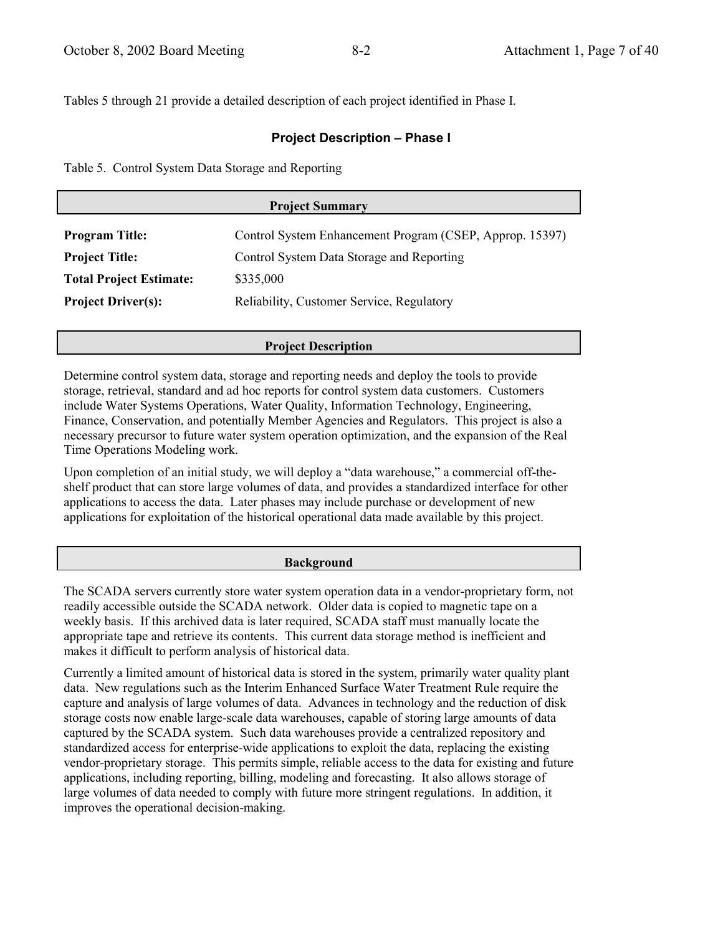Tables 5 through 21 provide a detailed description of each project identified in Phase I.

### **Project Description - Phase I**

Table 5. Control System Data Storage and Reporting

| <b>Project Summary</b>                                                 |                                                          |  |
|------------------------------------------------------------------------|----------------------------------------------------------|--|
| <b>Program Title:</b>                                                  | Control System Enhancement Program (CSEP, Approp. 15397) |  |
| Control System Data Storage and Reporting<br><b>Project Title:</b>     |                                                          |  |
| \$335,000<br><b>Total Project Estimate:</b>                            |                                                          |  |
| Reliability, Customer Service, Regulatory<br><b>Project Driver(s):</b> |                                                          |  |
|                                                                        |                                                          |  |

### **Project Description**

Determine control system data, storage and reporting needs and deploy the tools to provide storage, retrieval, standard and ad hoc reports for control system data customers. Customers include Water Systems Operations, Water Quality, Information Technology, Engineering, Finance, Conservation, and potentially Member Agencies and Regulators. This project is also a necessary precursor to future water system operation optimization, and the expansion of the Real Time Operations Modeling work.

Upon completion of an initial study, we will deploy a "data warehouse," a commercial off-theshelf product that can store large volumes of data, and provides a standardized interface for other applications to access the data. Later phases may include purchase or development of new applications for exploitation of the historical operational data made available by this project.

#### **Background**

The SCADA servers currently store water system operation data in a vendor-proprietary form, not readily accessible outside the SCADA network. Older data is copied to magnetic tape on a weekly basis. If this archived data is later required, SCADA staff must manually locate the appropriate tape and retrieve its contents. This current data storage method is inefficient and makes it difficult to perform analysis of historical data.

Currently a limited amount of historical data is stored in the system, primarily water quality plant data. New regulations such as the Interim Enhanced Surface Water Treatment Rule require the capture and analysis of large volumes of data. Advances in technology and the reduction of disk storage costs now enable large-scale data warehouses, capable of storing large amounts of data captured by the SCADA system. Such data warehouses provide a centralized repository and standardized access for enterprise-wide applications to exploit the data, replacing the existing vendor-proprietary storage. This permits simple, reliable access to the data for existing and future applications, including reporting, billing, modeling and forecasting. It also allows storage of large volumes of data needed to comply with future more stringent regulations. In addition, it improves the operational decision-making.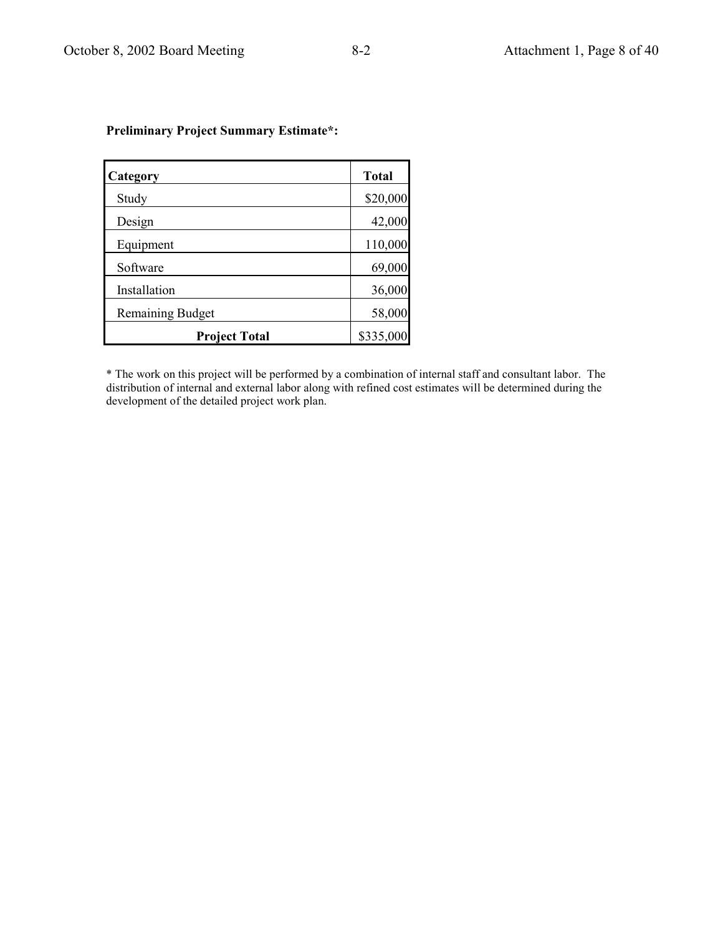| Category                | <b>Total</b> |
|-------------------------|--------------|
| Study                   | \$20,000     |
| Design                  | 42,000       |
| Equipment               | 110,000      |
| Software                | 69,000       |
| Installation            | 36,000       |
| <b>Remaining Budget</b> | 58,000       |
| <b>Project Total</b>    | \$335,000    |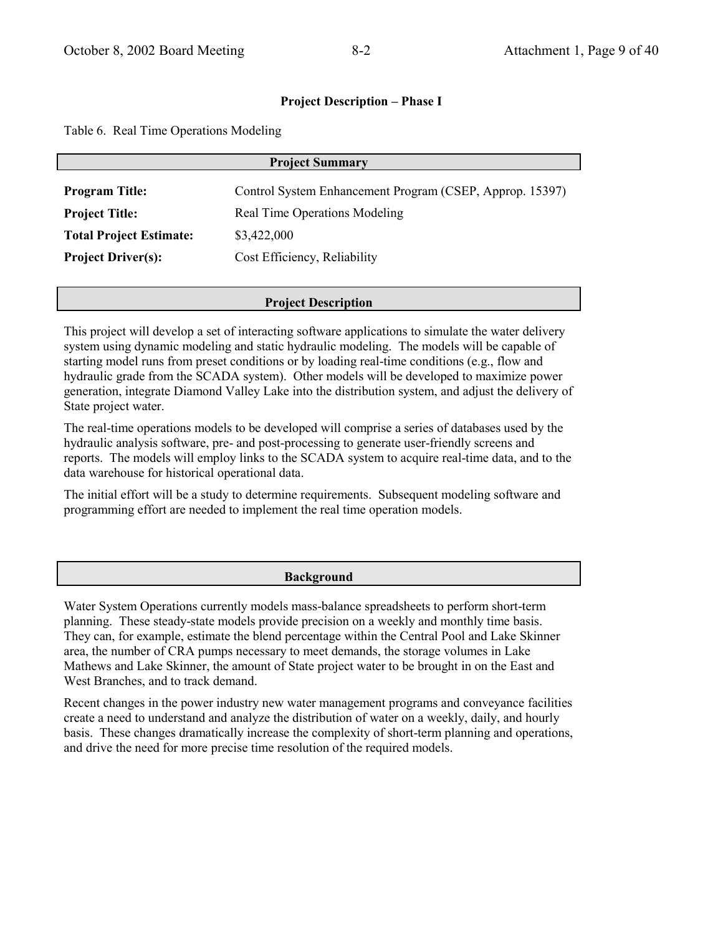Table 6. Real Time Operations Modeling

| <b>Project Summary</b>                                    |                                                          |  |
|-----------------------------------------------------------|----------------------------------------------------------|--|
| <b>Program Title:</b>                                     | Control System Enhancement Program (CSEP, Approp. 15397) |  |
| Real Time Operations Modeling<br><b>Project Title:</b>    |                                                          |  |
| <b>Total Project Estimate:</b><br>\$3,422,000             |                                                          |  |
| Cost Efficiency, Reliability<br><b>Project Driver(s):</b> |                                                          |  |
|                                                           |                                                          |  |

### **Project Description**

This project will develop a set of interacting software applications to simulate the water delivery system using dynamic modeling and static hydraulic modeling. The models will be capable of starting model runs from preset conditions or by loading real-time conditions (e.g., flow and hydraulic grade from the SCADA system). Other models will be developed to maximize power generation, integrate Diamond Valley Lake into the distribution system, and adjust the delivery of State project water.

The real-time operations models to be developed will comprise a series of databases used by the hydraulic analysis software, pre- and post-processing to generate user-friendly screens and reports. The models will employ links to the SCADA system to acquire real-time data, and to the data warehouse for historical operational data.

The initial effort will be a study to determine requirements. Subsequent modeling software and programming effort are needed to implement the real time operation models.

### **Background**

Water System Operations currently models mass-balance spreadsheets to perform short-term planning. These steady-state models provide precision on a weekly and monthly time basis. They can, for example, estimate the blend percentage within the Central Pool and Lake Skinner area, the number of CRA pumps necessary to meet demands, the storage volumes in Lake Mathews and Lake Skinner, the amount of State project water to be brought in on the East and West Branches, and to track demand.

Recent changes in the power industry new water management programs and conveyance facilities create a need to understand and analyze the distribution of water on a weekly, daily, and hourly basis. These changes dramatically increase the complexity of short-term planning and operations, and drive the need for more precise time resolution of the required models.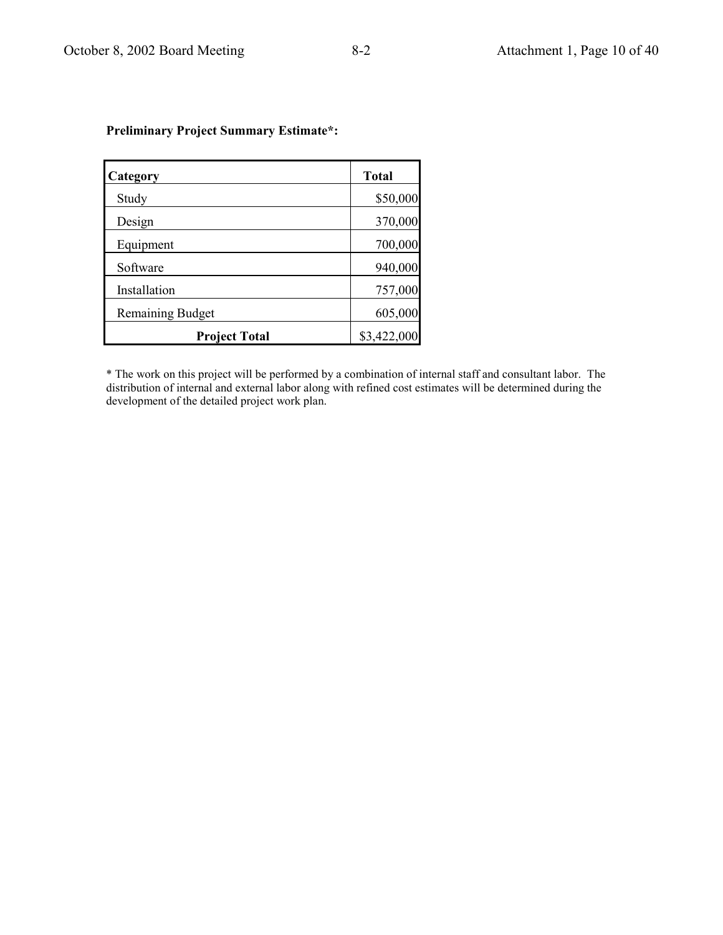| Category                | <b>Total</b> |
|-------------------------|--------------|
| Study                   | \$50,000     |
| Design                  | 370,000      |
| Equipment               | 700,000      |
| Software                | 940,000      |
| Installation            | 757,000      |
| <b>Remaining Budget</b> | 605,000      |
| <b>Project Total</b>    | \$3,422,000  |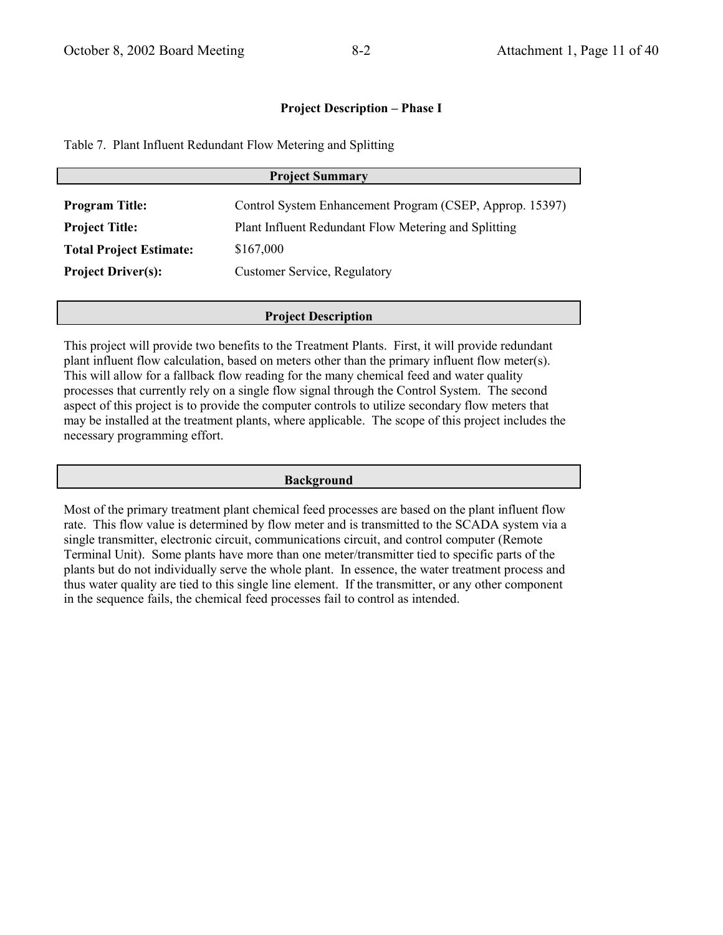Table 7. Plant Influent Redundant Flow Metering and Splitting

| <b>Project Summary</b>         |                                                          |  |
|--------------------------------|----------------------------------------------------------|--|
| <b>Program Title:</b>          | Control System Enhancement Program (CSEP, Approp. 15397) |  |
| <b>Project Title:</b>          | Plant Influent Redundant Flow Metering and Splitting     |  |
| <b>Total Project Estimate:</b> | \$167,000                                                |  |
| <b>Project Driver(s):</b>      | <b>Customer Service, Regulatory</b>                      |  |

### **Project Description**

This project will provide two benefits to the Treatment Plants. First, it will provide redundant plant influent flow calculation, based on meters other than the primary influent flow meter(s). This will allow for a fallback flow reading for the many chemical feed and water quality processes that currently rely on a single flow signal through the Control System. The second aspect of this project is to provide the computer controls to utilize secondary flow meters that may be installed at the treatment plants, where applicable. The scope of this project includes the necessary programming effort.

#### **Background**

Most of the primary treatment plant chemical feed processes are based on the plant influent flow rate. This flow value is determined by flow meter and is transmitted to the SCADA system via a single transmitter, electronic circuit, communications circuit, and control computer (Remote Terminal Unit). Some plants have more than one meter/transmitter tied to specific parts of the plants but do not individually serve the whole plant. In essence, the water treatment process and thus water quality are tied to this single line element. If the transmitter, or any other component in the sequence fails, the chemical feed processes fail to control as intended.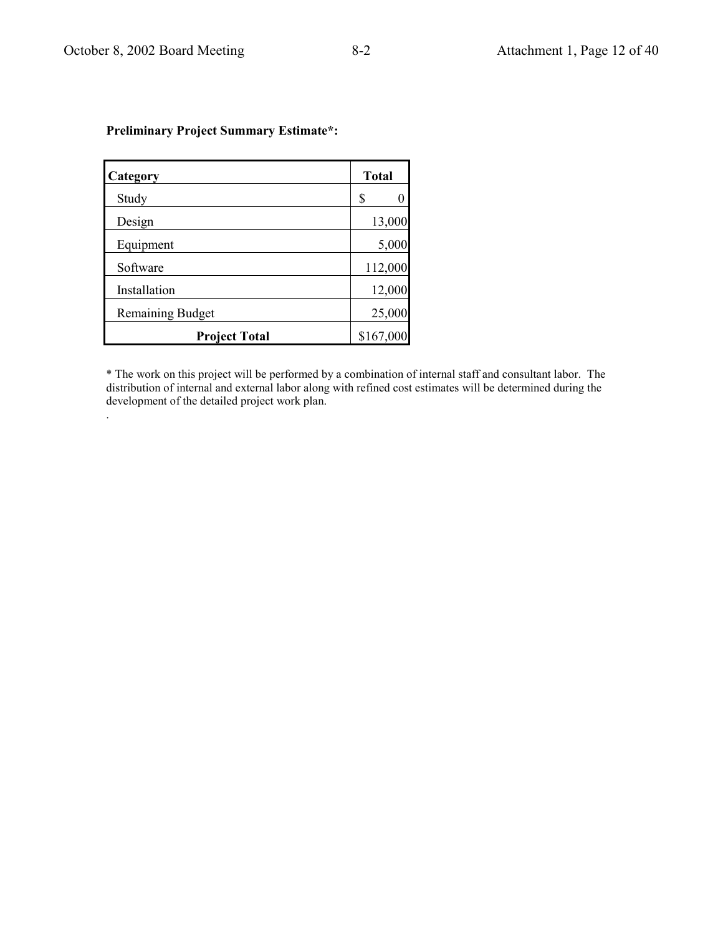| Category                | <b>Total</b> |
|-------------------------|--------------|
| Study                   | S            |
| Design                  | 13,000       |
| Equipment               | 5,000        |
| Software                | 112,000      |
| Installation            | 12,000       |
| <b>Remaining Budget</b> | 25,000       |
| <b>Project Total</b>    | \$167,000    |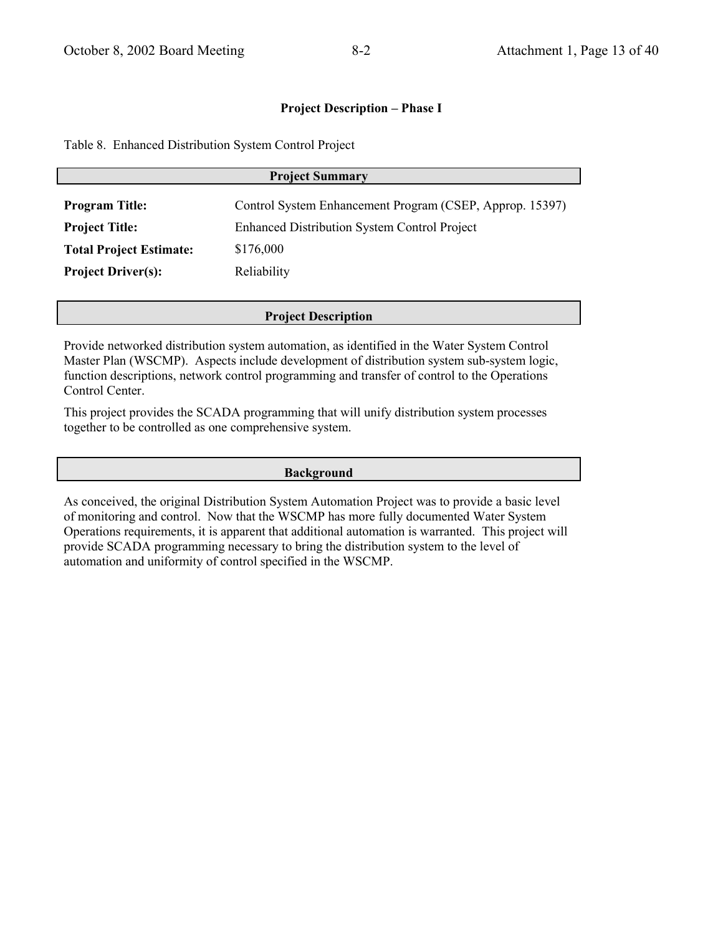Table 8. Enhanced Distribution System Control Project

| <b>Project Summary</b>         |                                                          |  |
|--------------------------------|----------------------------------------------------------|--|
| <b>Program Title:</b>          | Control System Enhancement Program (CSEP, Approp. 15397) |  |
| <b>Project Title:</b>          | <b>Enhanced Distribution System Control Project</b>      |  |
| <b>Total Project Estimate:</b> | \$176,000                                                |  |
| <b>Project Driver(s):</b>      | Reliability                                              |  |

### **Project Description**

Provide networked distribution system automation, as identified in the Water System Control Master Plan (WSCMP). Aspects include development of distribution system sub-system logic, function descriptions, network control programming and transfer of control to the Operations Control Center.

This project provides the SCADA programming that will unify distribution system processes together to be controlled as one comprehensive system.

### **Background**

As conceived, the original Distribution System Automation Project was to provide a basic level of monitoring and control. Now that the WSCMP has more fully documented Water System Operations requirements, it is apparent that additional automation is warranted. This project will provide SCADA programming necessary to bring the distribution system to the level of automation and uniformity of control specified in the WSCMP.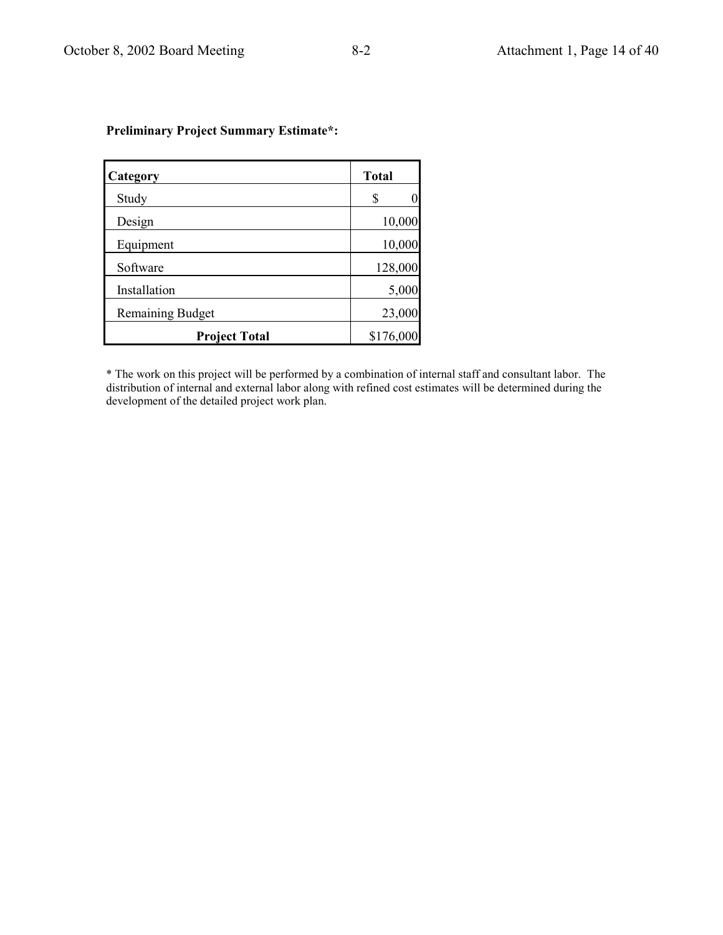| Category                | <b>Total</b> |
|-------------------------|--------------|
| Study                   | \$<br>0      |
| Design                  | 10,000       |
| Equipment               | 10,000       |
| Software                | 128,000      |
| Installation            | 5,000        |
| <b>Remaining Budget</b> | 23,000       |
| <b>Project Total</b>    | \$176,000    |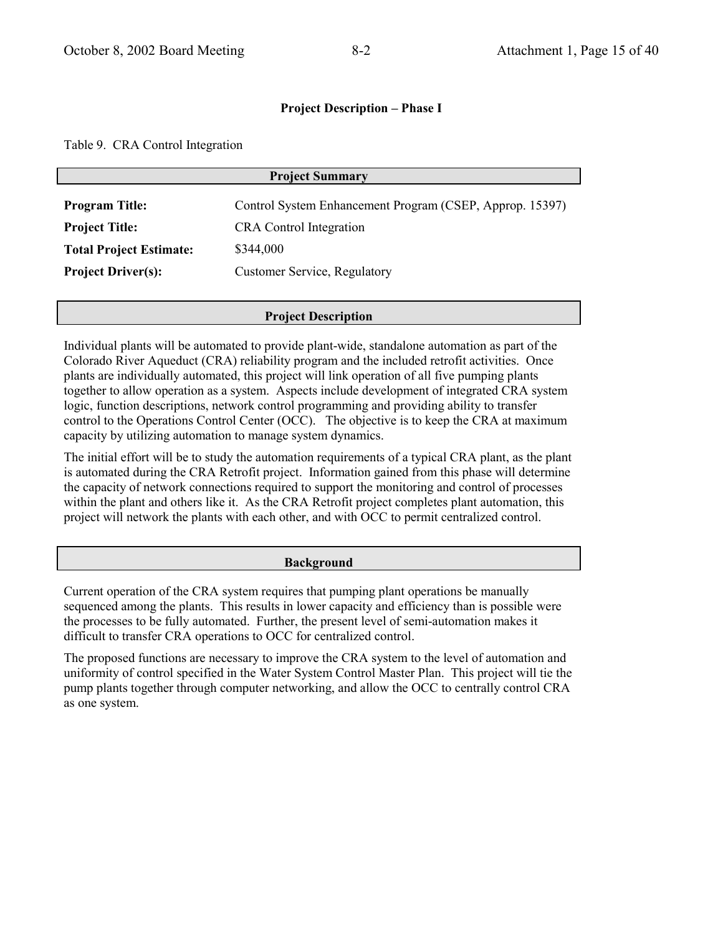Table 9. CRA Control Integration

| <b>Project Summary</b>         |                                                          |  |
|--------------------------------|----------------------------------------------------------|--|
| <b>Program Title:</b>          | Control System Enhancement Program (CSEP, Approp. 15397) |  |
| <b>Project Title:</b>          | <b>CRA</b> Control Integration                           |  |
| <b>Total Project Estimate:</b> | \$344,000                                                |  |
| <b>Project Driver(s):</b>      | <b>Customer Service, Regulatory</b>                      |  |
|                                |                                                          |  |

### **Project Description**

Individual plants will be automated to provide plant-wide, standalone automation as part of the Colorado River Aqueduct (CRA) reliability program and the included retrofit activities. Once plants are individually automated, this project will link operation of all five pumping plants together to allow operation as a system. Aspects include development of integrated CRA system logic, function descriptions, network control programming and providing ability to transfer control to the Operations Control Center (OCC). The objective is to keep the CRA at maximum capacity by utilizing automation to manage system dynamics.

The initial effort will be to study the automation requirements of a typical CRA plant, as the plant is automated during the CRA Retrofit project. Information gained from this phase will determine the capacity of network connections required to support the monitoring and control of processes within the plant and others like it. As the CRA Retrofit project completes plant automation, this project will network the plants with each other, and with OCC to permit centralized control.

#### **Background**

Current operation of the CRA system requires that pumping plant operations be manually sequenced among the plants. This results in lower capacity and efficiency than is possible were the processes to be fully automated. Further, the present level of semi-automation makes it difficult to transfer CRA operations to OCC for centralized control.

The proposed functions are necessary to improve the CRA system to the level of automation and uniformity of control specified in the Water System Control Master Plan. This project will tie the pump plants together through computer networking, and allow the OCC to centrally control CRA as one system.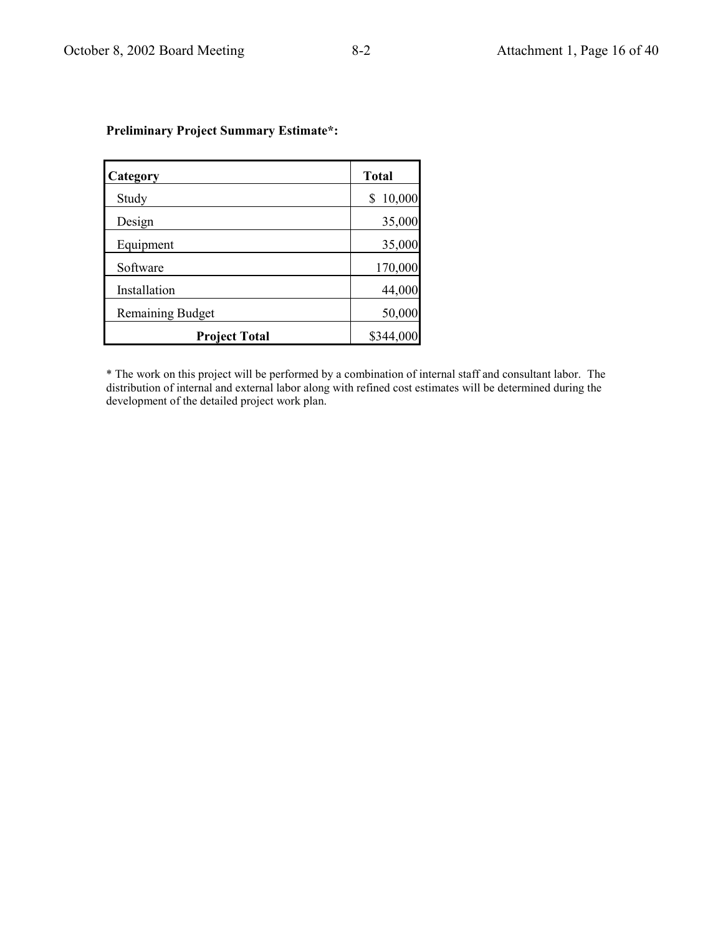| Category                | <b>Total</b> |
|-------------------------|--------------|
| Study                   | 10,000<br>\$ |
| Design                  | 35,000       |
| Equipment               | 35,000       |
| Software                | 170,000      |
| Installation            | 44,000       |
| <b>Remaining Budget</b> | 50,000       |
| <b>Project Total</b>    | \$344,000    |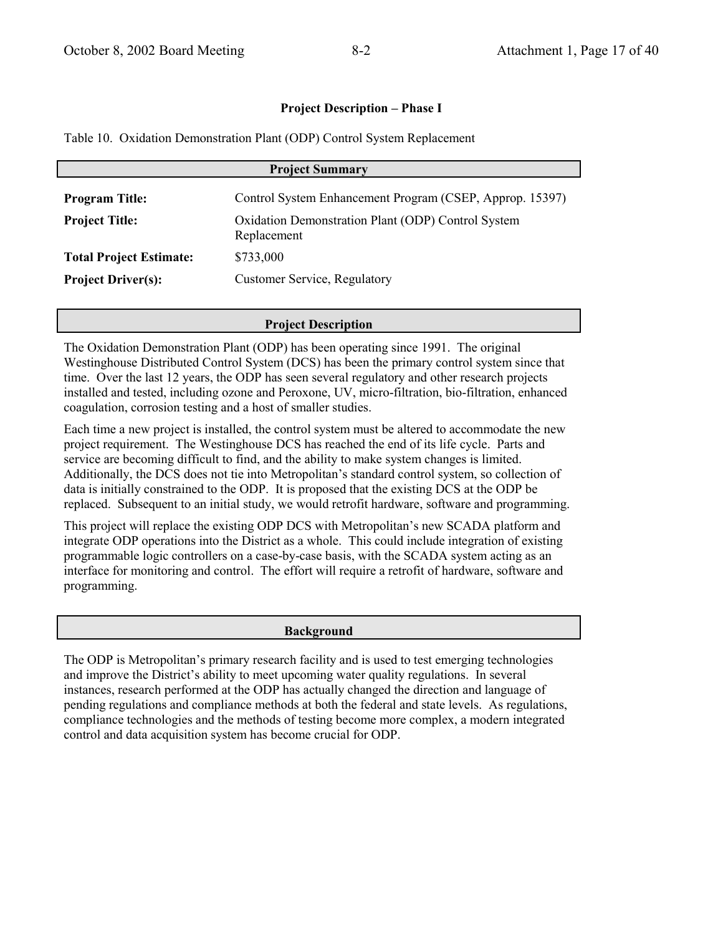Table 10. Oxidation Demonstration Plant (ODP) Control System Replacement

| <b>Project Summary</b>         |                                                                   |  |
|--------------------------------|-------------------------------------------------------------------|--|
| <b>Program Title:</b>          | Control System Enhancement Program (CSEP, Approp. 15397)          |  |
| <b>Project Title:</b>          | Oxidation Demonstration Plant (ODP) Control System<br>Replacement |  |
| <b>Total Project Estimate:</b> | \$733,000                                                         |  |
| <b>Project Driver(s):</b>      | <b>Customer Service, Regulatory</b>                               |  |

### **Project Description**

The Oxidation Demonstration Plant (ODP) has been operating since 1991. The original Westinghouse Distributed Control System (DCS) has been the primary control system since that time. Over the last 12 years, the ODP has seen several regulatory and other research projects installed and tested, including ozone and Peroxone, UV, micro-filtration, bio-filtration, enhanced coagulation, corrosion testing and a host of smaller studies.

Each time a new project is installed, the control system must be altered to accommodate the new project requirement. The Westinghouse DCS has reached the end of its life cycle. Parts and service are becoming difficult to find, and the ability to make system changes is limited. Additionally, the DCS does not tie into Metropolitan's standard control system, so collection of data is initially constrained to the ODP. It is proposed that the existing DCS at the ODP be replaced. Subsequent to an initial study, we would retrofit hardware, software and programming.

This project will replace the existing ODP DCS with Metropolitan's new SCADA platform and integrate ODP operations into the District as a whole. This could include integration of existing programmable logic controllers on a case-by-case basis, with the SCADA system acting as an interface for monitoring and control. The effort will require a retrofit of hardware, software and programming.

#### **Background**

The ODP is Metropolitan's primary research facility and is used to test emerging technologies and improve the District's ability to meet upcoming water quality regulations. In several instances, research performed at the ODP has actually changed the direction and language of pending regulations and compliance methods at both the federal and state levels. As regulations, compliance technologies and the methods of testing become more complex, a modern integrated control and data acquisition system has become crucial for ODP.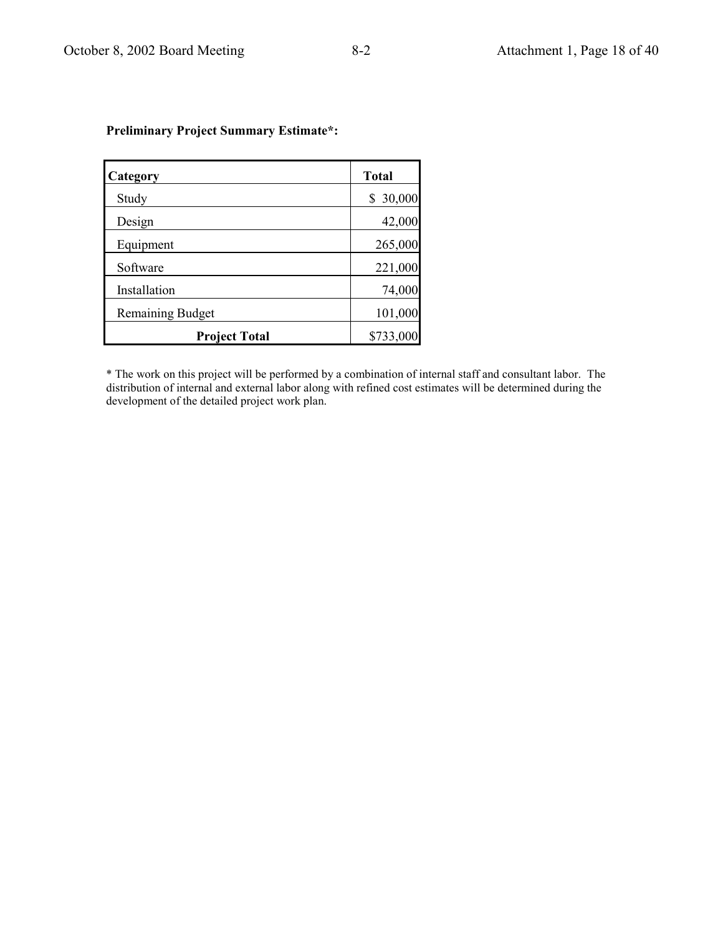| Category                | <b>Total</b> |
|-------------------------|--------------|
| Study                   | 30,000<br>S  |
| Design                  | 42,000       |
| Equipment               | 265,000      |
| Software                | 221,000      |
| Installation            | 74,000       |
| <b>Remaining Budget</b> | 101,000      |
| <b>Project Total</b>    | \$733,000    |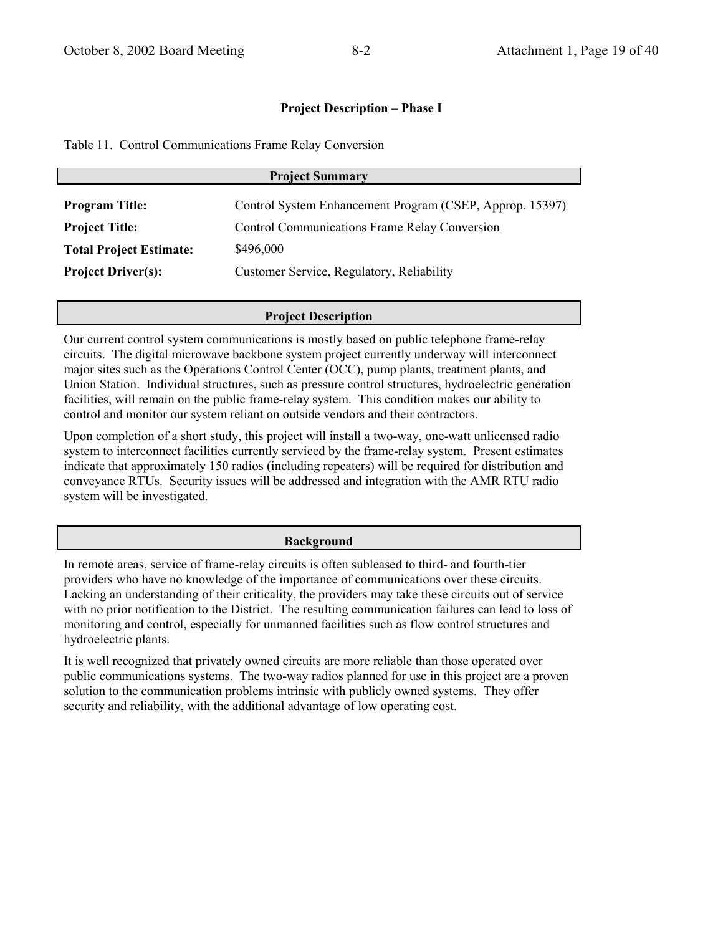Table 11. Control Communications Frame Relay Conversion

| <b>Project Summary</b>         |                                                          |  |
|--------------------------------|----------------------------------------------------------|--|
| <b>Program Title:</b>          | Control System Enhancement Program (CSEP, Approp. 15397) |  |
| <b>Project Title:</b>          | <b>Control Communications Frame Relay Conversion</b>     |  |
| <b>Total Project Estimate:</b> | \$496,000                                                |  |
| <b>Project Driver(s):</b>      | Customer Service, Regulatory, Reliability                |  |

## **Project Description**

Our current control system communications is mostly based on public telephone frame-relay circuits. The digital microwave backbone system project currently underway will interconnect major sites such as the Operations Control Center (OCC), pump plants, treatment plants, and Union Station. Individual structures, such as pressure control structures, hydroelectric generation facilities, will remain on the public frame-relay system. This condition makes our ability to control and monitor our system reliant on outside vendors and their contractors.

Upon completion of a short study, this project will install a two-way, one-watt unlicensed radio system to interconnect facilities currently serviced by the frame-relay system. Present estimates indicate that approximately 150 radios (including repeaters) will be required for distribution and conveyance RTUs. Security issues will be addressed and integration with the AMR RTU radio system will be investigated.

## **Background**

In remote areas, service of frame-relay circuits is often subleased to third- and fourth-tier providers who have no knowledge of the importance of communications over these circuits. Lacking an understanding of their criticality, the providers may take these circuits out of service with no prior notification to the District. The resulting communication failures can lead to loss of monitoring and control, especially for unmanned facilities such as flow control structures and hydroelectric plants.

It is well recognized that privately owned circuits are more reliable than those operated over public communications systems. The two-way radios planned for use in this project are a proven solution to the communication problems intrinsic with publicly owned systems. They offer security and reliability, with the additional advantage of low operating cost.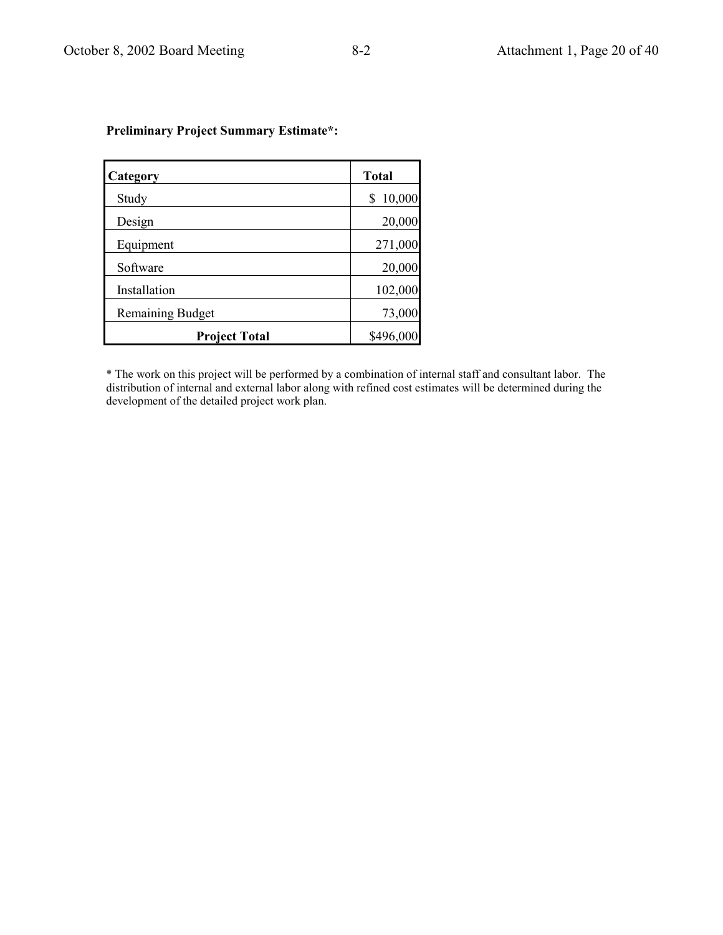| Category                | <b>Total</b> |
|-------------------------|--------------|
| Study                   | 10,000<br>\$ |
| Design                  | 20,000       |
| Equipment               | 271,000      |
| Software                | 20,000       |
| Installation            | 102,000      |
| <b>Remaining Budget</b> | 73,000       |
| <b>Project Total</b>    | \$496,000    |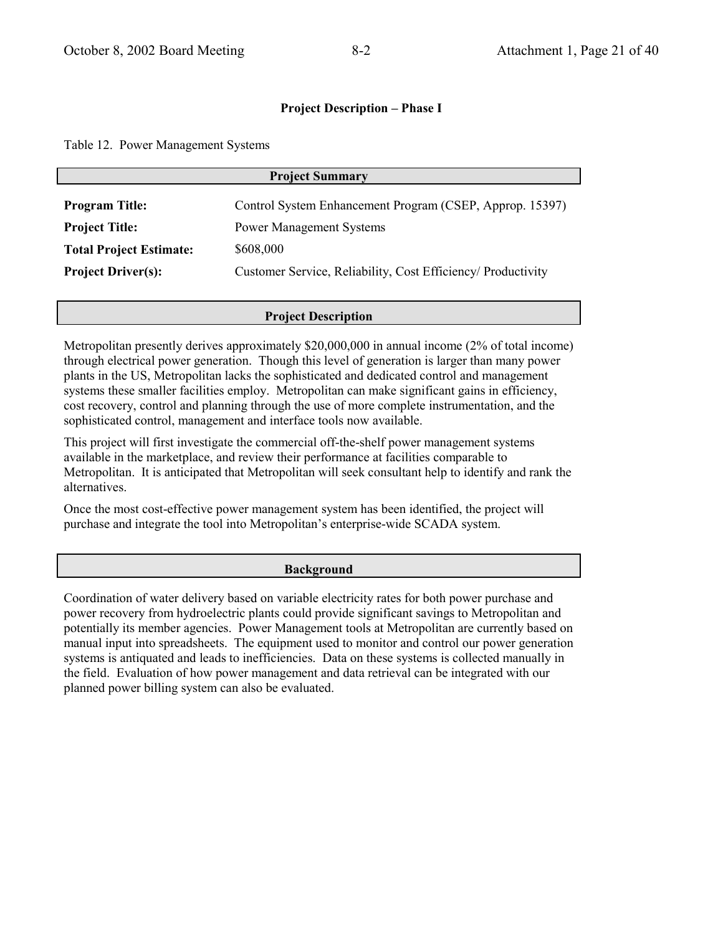Table 12. Power Management Systems

| <b>Project Summary</b>                         |                                                                                             |  |
|------------------------------------------------|---------------------------------------------------------------------------------------------|--|
| <b>Program Title:</b><br><b>Project Title:</b> | Control System Enhancement Program (CSEP, Approp. 15397)<br><b>Power Management Systems</b> |  |
| <b>Total Project Estimate:</b>                 | \$608,000                                                                                   |  |
| <b>Project Driver(s):</b>                      | Customer Service, Reliability, Cost Efficiency/ Productivity                                |  |

### **Project Description**

Metropolitan presently derives approximately \$20,000,000 in annual income (2% of total income) through electrical power generation. Though this level of generation is larger than many power plants in the US, Metropolitan lacks the sophisticated and dedicated control and management systems these smaller facilities employ. Metropolitan can make significant gains in efficiency, cost recovery, control and planning through the use of more complete instrumentation, and the sophisticated control, management and interface tools now available.

This project will first investigate the commercial off-the-shelf power management systems available in the marketplace, and review their performance at facilities comparable to Metropolitan. It is anticipated that Metropolitan will seek consultant help to identify and rank the alternatives.

Once the most cost-effective power management system has been identified, the project will purchase and integrate the tool into Metropolitan's enterprise-wide SCADA system.

### **Background**

Coordination of water delivery based on variable electricity rates for both power purchase and power recovery from hydroelectric plants could provide significant savings to Metropolitan and potentially its member agencies. Power Management tools at Metropolitan are currently based on manual input into spreadsheets. The equipment used to monitor and control our power generation systems is antiquated and leads to inefficiencies. Data on these systems is collected manually in the field. Evaluation of how power management and data retrieval can be integrated with our planned power billing system can also be evaluated.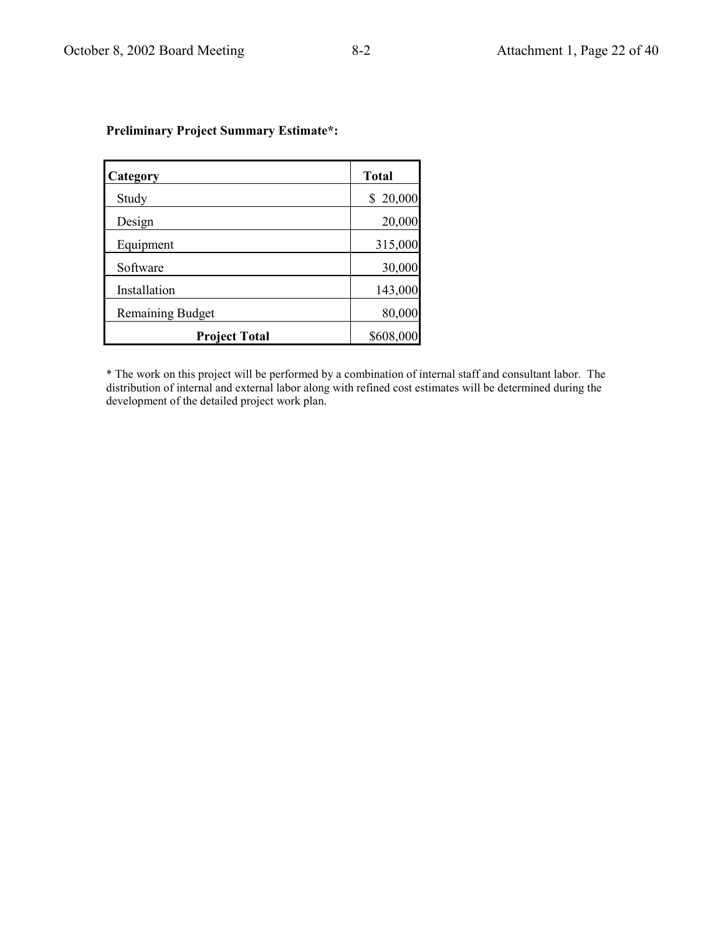| Category                | <b>Total</b> |
|-------------------------|--------------|
| Study                   | 20,000<br>\$ |
| Design                  | 20,000       |
| Equipment               | 315,000      |
| Software                | 30,000       |
| Installation            | 143,000      |
| <b>Remaining Budget</b> | 80,000       |
| <b>Project Total</b>    | \$608,000    |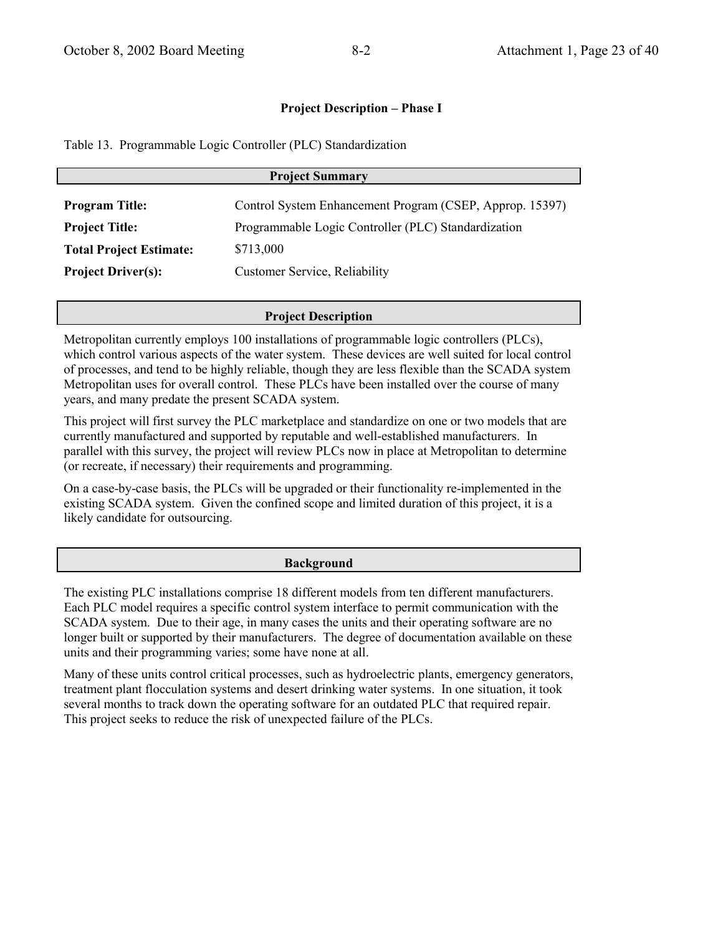Table 13. Programmable Logic Controller (PLC) Standardization

| <b>Project Summary</b>         |                                                          |  |
|--------------------------------|----------------------------------------------------------|--|
| <b>Program Title:</b>          | Control System Enhancement Program (CSEP, Approp. 15397) |  |
| <b>Project Title:</b>          | Programmable Logic Controller (PLC) Standardization      |  |
| <b>Total Project Estimate:</b> | \$713,000                                                |  |
| <b>Project Driver(s):</b>      | Customer Service, Reliability                            |  |

### **Project Description**

Metropolitan currently employs 100 installations of programmable logic controllers (PLCs), which control various aspects of the water system. These devices are well suited for local control of processes, and tend to be highly reliable, though they are less flexible than the SCADA system Metropolitan uses for overall control. These PLCs have been installed over the course of many years, and many predate the present SCADA system.

This project will first survey the PLC marketplace and standardize on one or two models that are currently manufactured and supported by reputable and well-established manufacturers. In parallel with this survey, the project will review PLCs now in place at Metropolitan to determine (or recreate, if necessary) their requirements and programming.

On a case-by-case basis, the PLCs will be upgraded or their functionality re-implemented in the existing SCADA system. Given the confined scope and limited duration of this project, it is a likely candidate for outsourcing.

#### **Background**

The existing PLC installations comprise 18 different models from ten different manufacturers. Each PLC model requires a specific control system interface to permit communication with the SCADA system. Due to their age, in many cases the units and their operating software are no longer built or supported by their manufacturers. The degree of documentation available on these units and their programming varies; some have none at all.

Many of these units control critical processes, such as hydroelectric plants, emergency generators, treatment plant flocculation systems and desert drinking water systems. In one situation, it took several months to track down the operating software for an outdated PLC that required repair. This project seeks to reduce the risk of unexpected failure of the PLCs.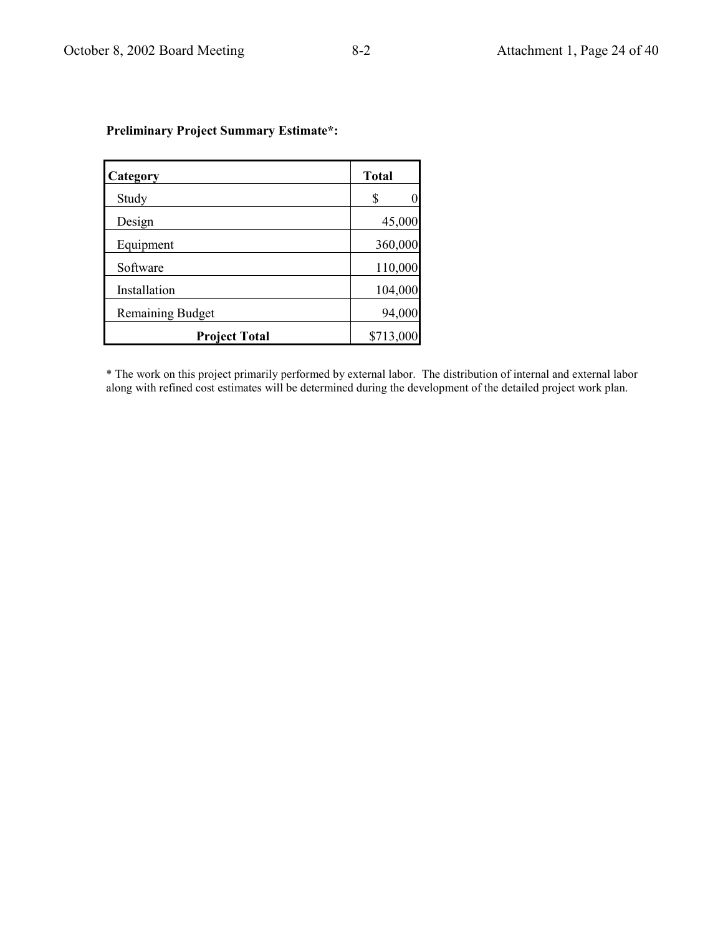| Category                | <b>Total</b> |
|-------------------------|--------------|
| Study                   | S<br>ſ       |
| Design                  | 45,000       |
| Equipment               | 360,000      |
| Software                | 110,000      |
| Installation            | 104,000      |
| <b>Remaining Budget</b> | 94,000       |
| <b>Project Total</b>    | \$713,000    |

\* The work on this project primarily performed by external labor. The distribution of internal and external labor along with refined cost estimates will be determined during the development of the detailed project work plan.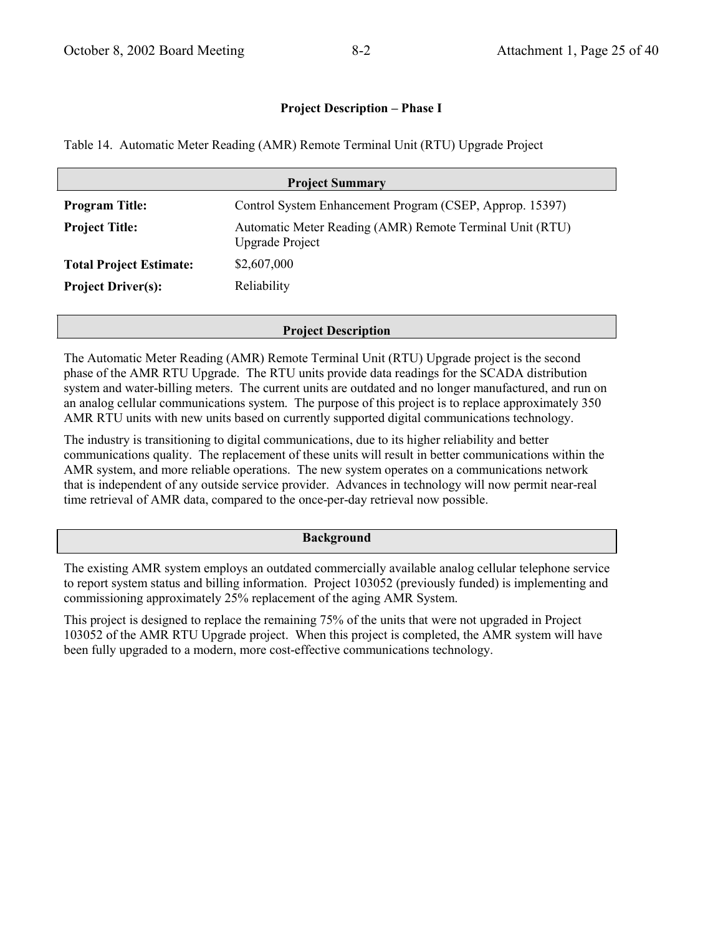Table 14. Automatic Meter Reading (AMR) Remote Terminal Unit (RTU) Upgrade Project

| <b>Project Summary</b>                                                             |  |  |
|------------------------------------------------------------------------------------|--|--|
| Control System Enhancement Program (CSEP, Approp. 15397)                           |  |  |
| Automatic Meter Reading (AMR) Remote Terminal Unit (RTU)<br><b>Upgrade Project</b> |  |  |
| \$2,607,000                                                                        |  |  |
| Reliability                                                                        |  |  |
|                                                                                    |  |  |

### **Project Description**

The Automatic Meter Reading (AMR) Remote Terminal Unit (RTU) Upgrade project is the second phase of the AMR RTU Upgrade. The RTU units provide data readings for the SCADA distribution system and water-billing meters. The current units are outdated and no longer manufactured, and run on an analog cellular communications system. The purpose of this project is to replace approximately 350 AMR RTU units with new units based on currently supported digital communications technology.

The industry is transitioning to digital communications, due to its higher reliability and better communications quality. The replacement of these units will result in better communications within the AMR system, and more reliable operations. The new system operates on a communications network that is independent of any outside service provider. Advances in technology will now permit near-real time retrieval of AMR data, compared to the once-per-day retrieval now possible.

### **Background**

The existing AMR system employs an outdated commercially available analog cellular telephone service to report system status and billing information. Project 103052 (previously funded) is implementing and commissioning approximately 25% replacement of the aging AMR System.

This project is designed to replace the remaining 75% of the units that were not upgraded in Project 103052 of the AMR RTU Upgrade project. When this project is completed, the AMR system will have been fully upgraded to a modern, more cost-effective communications technology.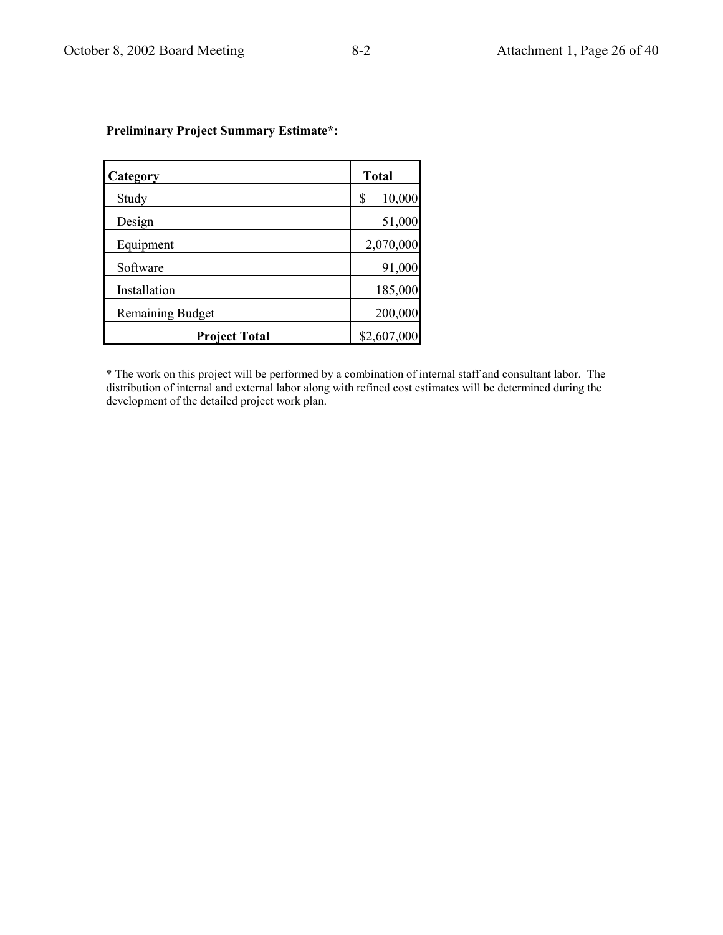| Category                | <b>Total</b> |
|-------------------------|--------------|
| Study                   | 10,000<br>\$ |
| Design                  | 51,000       |
| Equipment               | 2,070,000    |
| Software                | 91,000       |
| Installation            | 185,000      |
| <b>Remaining Budget</b> | 200,000      |
| <b>Project Total</b>    | \$2,607,000  |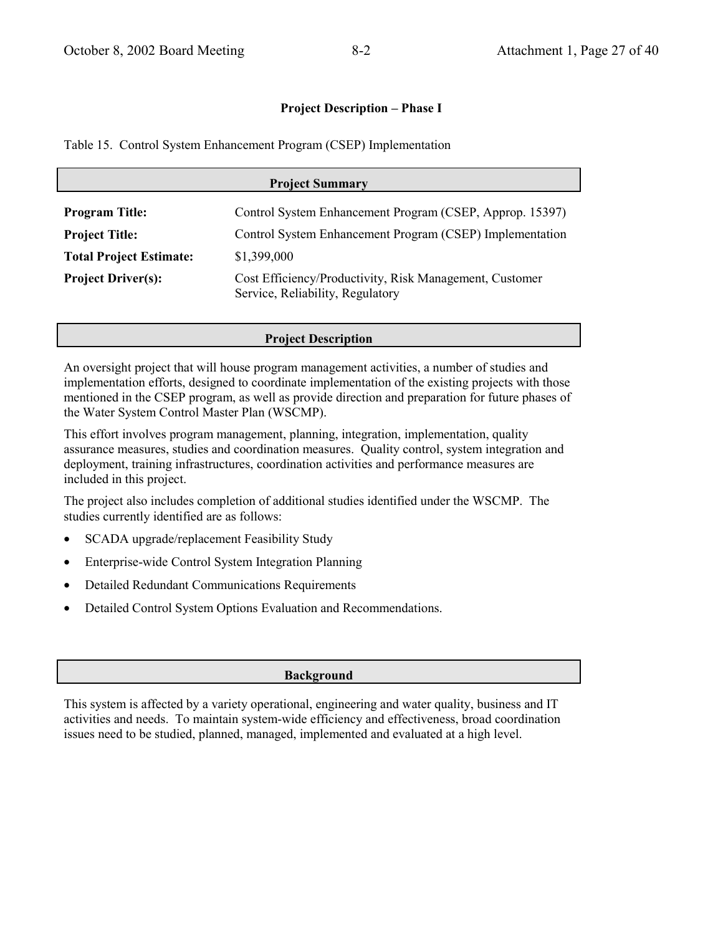Table 15. Control System Enhancement Program (CSEP) Implementation

| <b>Project Summary</b>         |                                                                                             |  |
|--------------------------------|---------------------------------------------------------------------------------------------|--|
| <b>Program Title:</b>          | Control System Enhancement Program (CSEP, Approp. 15397)                                    |  |
| <b>Project Title:</b>          | Control System Enhancement Program (CSEP) Implementation                                    |  |
| <b>Total Project Estimate:</b> | \$1,399,000                                                                                 |  |
| <b>Project Driver(s):</b>      | Cost Efficiency/Productivity, Risk Management, Customer<br>Service, Reliability, Regulatory |  |

### **Project Description**

An oversight project that will house program management activities, a number of studies and implementation efforts, designed to coordinate implementation of the existing projects with those mentioned in the CSEP program, as well as provide direction and preparation for future phases of the Water System Control Master Plan (WSCMP).

This effort involves program management, planning, integration, implementation, quality assurance measures, studies and coordination measures. Ouality control, system integration and deployment, training infrastructures, coordination activities and performance measures are included in this project.

The project also includes completion of additional studies identified under the WSCMP. The studies currently identified are as follows:

- SCADA upgrade/replacement Feasibility Study
- Enterprise-wide Control System Integration Planning  $\bullet$
- **Detailed Redundant Communications Requirements**
- Detailed Control System Options Evaluation and Recommendations.  $\bullet$

## **Background**

This system is affected by a variety operational, engineering and water quality, business and IT activities and needs. To maintain system-wide efficiency and effectiveness, broad coordination issues need to be studied, planned, managed, implemented and evaluated at a high level.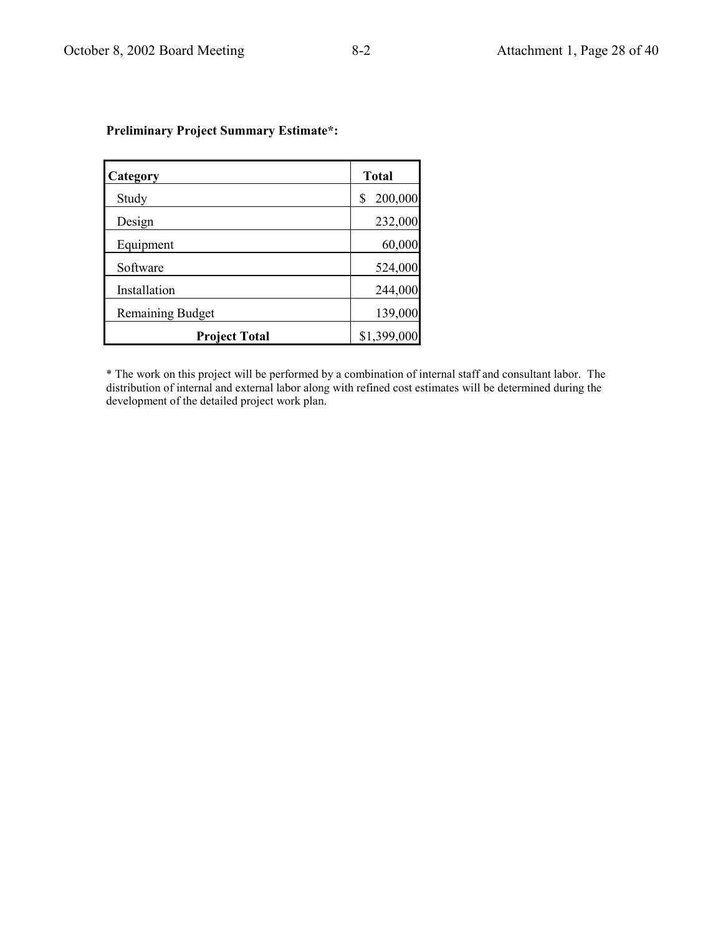| Category                | <b>Total</b>  |
|-------------------------|---------------|
| Study                   | 200,000<br>\$ |
| Design                  | 232,000       |
| Equipment               | 60,000        |
| Software                | 524,000       |
| Installation            | 244,000       |
| <b>Remaining Budget</b> | 139,000       |
| <b>Project Total</b>    | \$1,399,000   |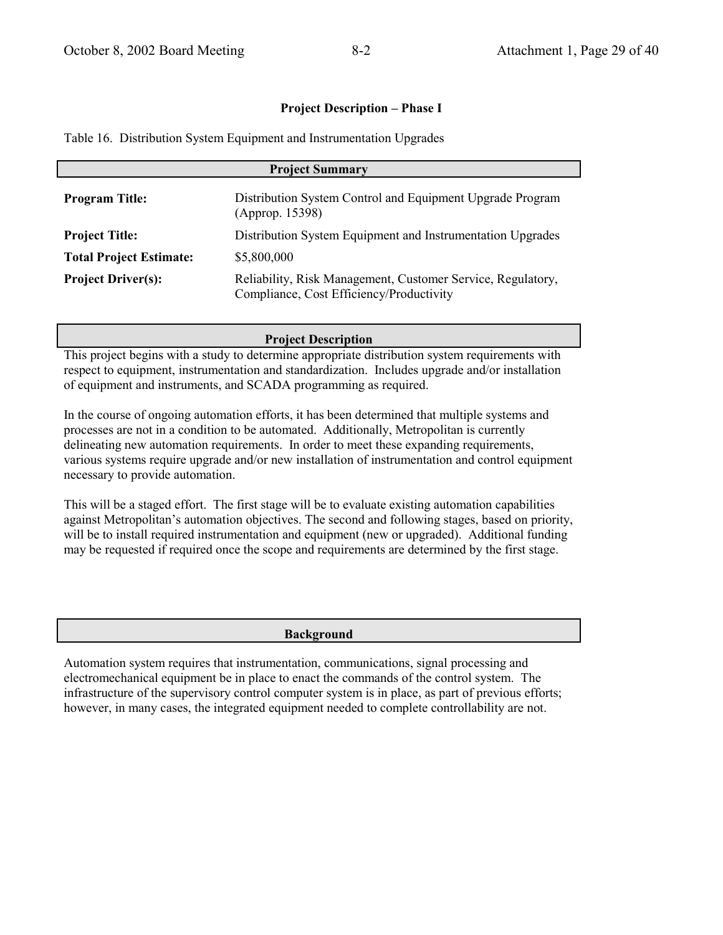|  | Table 16. Distribution System Equipment and Instrumentation Upgrades |  |  |  |  |  |
|--|----------------------------------------------------------------------|--|--|--|--|--|
|--|----------------------------------------------------------------------|--|--|--|--|--|

| <b>Project Summary</b>         |                                                                                                         |  |
|--------------------------------|---------------------------------------------------------------------------------------------------------|--|
| <b>Program Title:</b>          | Distribution System Control and Equipment Upgrade Program<br>(Approp. 15398)                            |  |
| <b>Project Title:</b>          | Distribution System Equipment and Instrumentation Upgrades                                              |  |
| <b>Total Project Estimate:</b> | \$5,800,000                                                                                             |  |
| <b>Project Driver(s):</b>      | Reliability, Risk Management, Customer Service, Regulatory,<br>Compliance, Cost Efficiency/Productivity |  |

### **Project Description**

This project begins with a study to determine appropriate distribution system requirements with respect to equipment, instrumentation and standardization. Includes upgrade and/or installation of equipment and instruments, and SCADA programming as required.

In the course of ongoing automation efforts, it has been determined that multiple systems and processes are not in a condition to be automated. Additionally, Metropolitan is currently delineating new automation requirements. In order to meet these expanding requirements, various systems require upgrade and/or new installation of instrumentation and control equipment necessary to provide automation.

This will be a staged effort. The first stage will be to evaluate existing automation capabilities against Metropolitan's automation objectives. The second and following stages, based on priority, will be to install required instrumentation and equipment (new or upgraded). Additional funding may be requested if required once the scope and requirements are determined by the first stage.

#### **Background**

Automation system requires that instrumentation, communications, signal processing and electromechanical equipment be in place to enact the commands of the control system. The infrastructure of the supervisory control computer system is in place, as part of previous efforts; however, in many cases, the integrated equipment needed to complete controllability are not.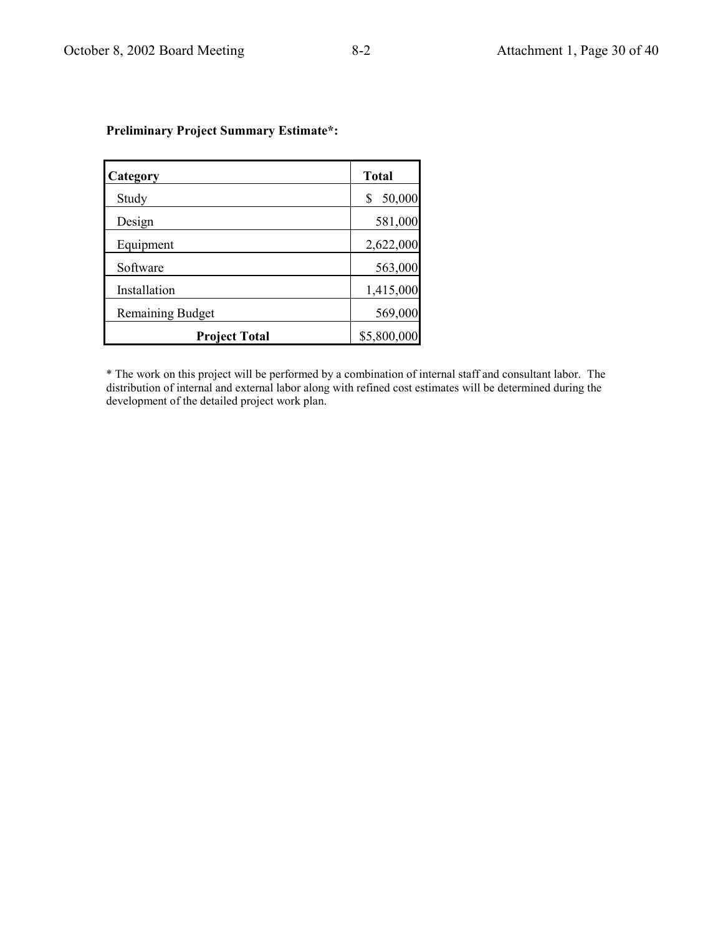| Category                | <b>Total</b> |
|-------------------------|--------------|
| Study                   | 50,000       |
| Design                  | 581,000      |
| Equipment               | 2,622,000    |
| Software                | 563,000      |
| Installation            | 1,415,000    |
| <b>Remaining Budget</b> | 569,000      |
| <b>Project Total</b>    | \$5,800,000  |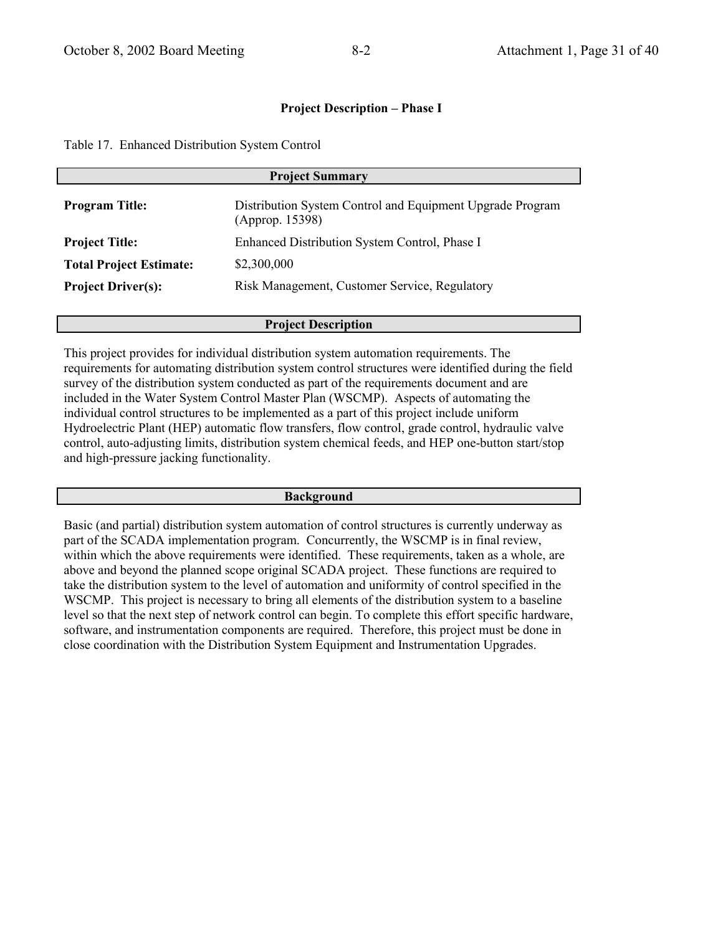Table 17. Enhanced Distribution System Control

| <b>Project Summary</b>                                                       |  |  |
|------------------------------------------------------------------------------|--|--|
| Distribution System Control and Equipment Upgrade Program<br>(Approp. 15398) |  |  |
| Enhanced Distribution System Control, Phase I                                |  |  |
| \$2,300,000                                                                  |  |  |
| Risk Management, Customer Service, Regulatory                                |  |  |
|                                                                              |  |  |

#### **Project Description**

This project provides for individual distribution system automation requirements. The requirements for automating distribution system control structures were identified during the field survey of the distribution system conducted as part of the requirements document and are included in the Water System Control Master Plan (WSCMP). Aspects of automating the individual control structures to be implemented as a part of this project include uniform Hydroelectric Plant (HEP) automatic flow transfers, flow control, grade control, hydraulic valve control, auto-adjusting limits, distribution system chemical feeds, and HEP one-button start/stop and high-pressure jacking functionality.

#### **Background**

Basic (and partial) distribution system automation of control structures is currently underway as part of the SCADA implementation program. Concurrently, the WSCMP is in final review, within which the above requirements were identified. These requirements, taken as a whole, are above and beyond the planned scope original SCADA project. These functions are required to take the distribution system to the level of automation and uniformity of control specified in the WSCMP. This project is necessary to bring all elements of the distribution system to a baseline level so that the next step of network control can begin. To complete this effort specific hardware, software, and instrumentation components are required. Therefore, this project must be done in close coordination with the Distribution System Equipment and Instrumentation Uperades.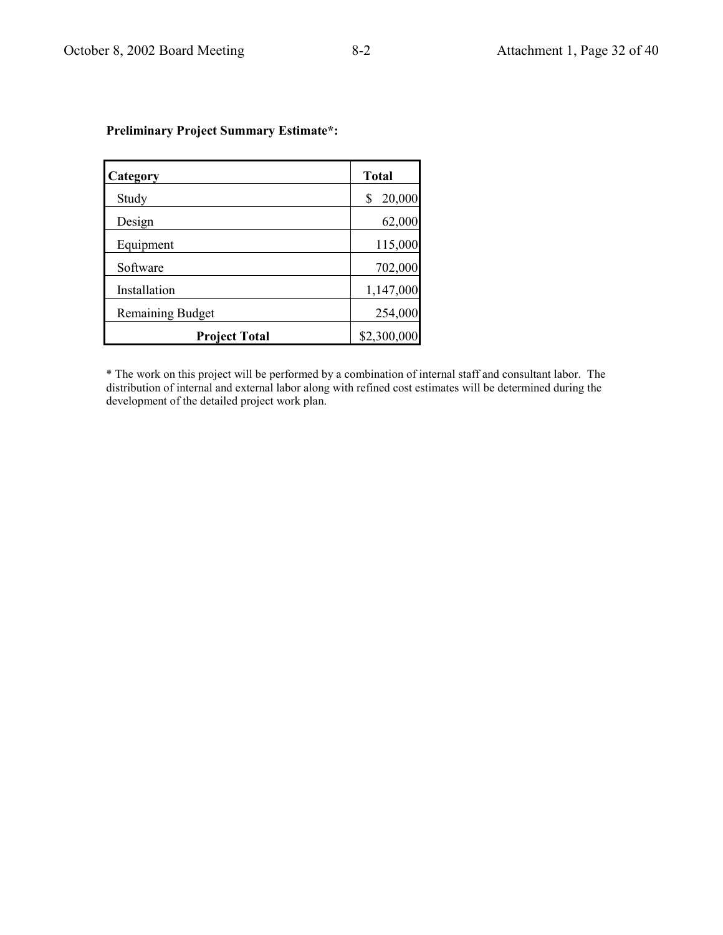| Category                | <b>Total</b> |
|-------------------------|--------------|
| Study                   | 20,000<br>\$ |
| Design                  | 62,000       |
| Equipment               | 115,000      |
| Software                | 702,000      |
| Installation            | 1,147,000    |
| <b>Remaining Budget</b> | 254,000      |
| <b>Project Total</b>    | \$2,300,000  |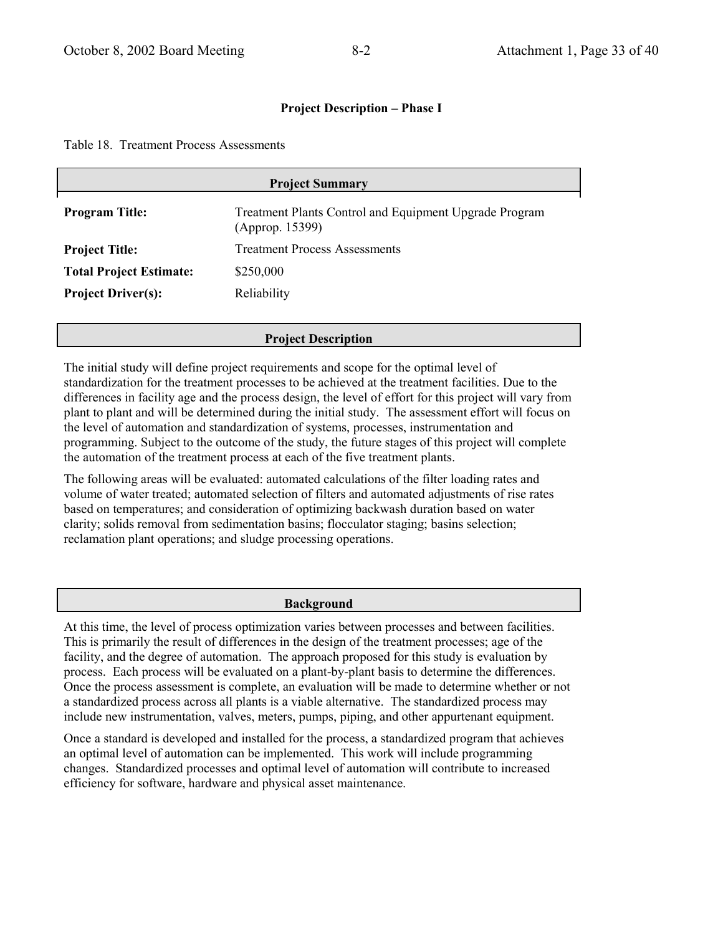Table 18. Treatment Process Assessments

| <b>Project Summary</b>         |                                                                           |  |
|--------------------------------|---------------------------------------------------------------------------|--|
| <b>Program Title:</b>          | Treatment Plants Control and Equipment Upgrade Program<br>(Approp. 15399) |  |
| <b>Project Title:</b>          | <b>Treatment Process Assessments</b>                                      |  |
| <b>Total Project Estimate:</b> | \$250,000                                                                 |  |
| <b>Project Driver(s):</b>      | Reliability                                                               |  |

### **Project Description**

The initial study will define project requirements and scope for the optimal level of standardization for the treatment processes to be achieved at the treatment facilities. Due to the differences in facility age and the process design, the level of effort for this project will vary from plant to plant and will be determined during the initial study. The assessment effort will focus on the level of automation and standardization of systems, processes, instrumentation and programming. Subject to the outcome of the study, the future stages of this project will complete the automation of the treatment process at each of the five treatment plants.

The following areas will be evaluated: automated calculations of the filter loading rates and volume of water treated; automated selection of filters and automated adjustments of rise rates based on temperatures; and consideration of optimizing backwash duration based on water clarity; solids removal from sedimentation basins; flocculator staging; basins selection; reclamation plant operations; and sludge processing operations.

### **Background**

At this time, the level of process optimization varies between processes and between facilities. This is primarily the result of differences in the design of the treatment processes; age of the facility, and the degree of automation. The approach proposed for this study is evaluation by process. Each process will be evaluated on a plant-by-plant basis to determine the differences. Once the process assessment is complete, an evaluation will be made to determine whether or not a standardized process across all plants is a viable alternative. The standardized process may include new instrumentation, valves, meters, pumps, piping, and other appurtenant equipment.

Once a standard is developed and installed for the process, a standardized program that achieves an optimal level of automation can be implemented. This work will include programming changes. Standardized processes and optimal level of automation will contribute to increased efficiency for software, hardware and physical asset maintenance.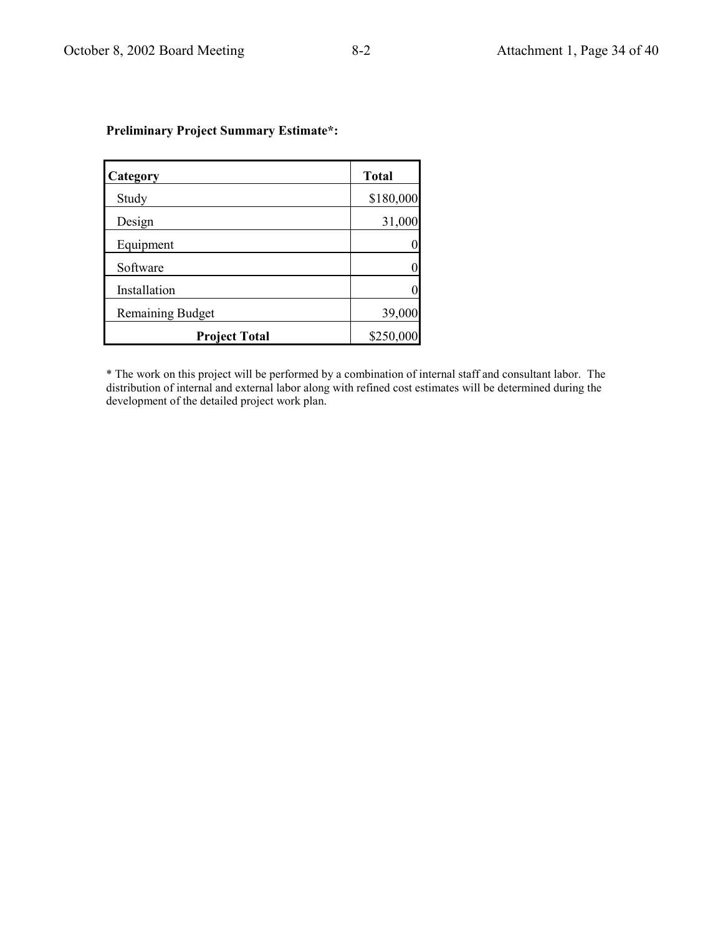| Category                | <b>Total</b>   |
|-------------------------|----------------|
| Study                   | \$180,000      |
| Design                  | 31,000         |
| Equipment               | $\overline{0}$ |
| Software                | 0              |
| Installation            | 0              |
| <b>Remaining Budget</b> | 39,000         |
| <b>Project Total</b>    | \$250,000      |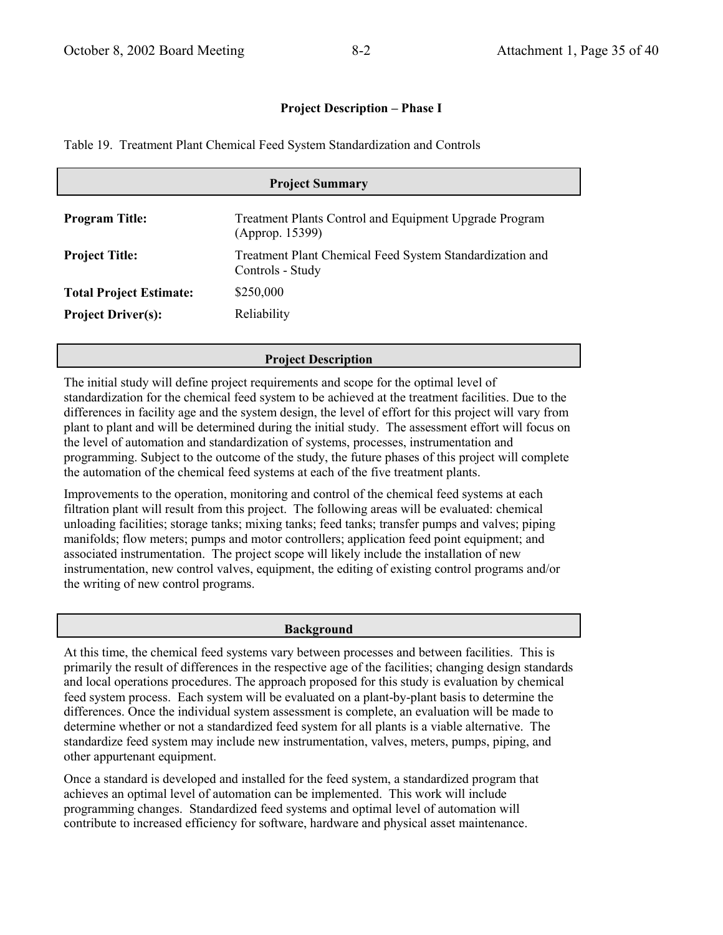Table 19. Treatment Plant Chemical Feed System Standardization and Controls

| <b>Project Summary</b>         |                                                                              |  |
|--------------------------------|------------------------------------------------------------------------------|--|
| <b>Program Title:</b>          | Treatment Plants Control and Equipment Upgrade Program<br>(Approp. 15399)    |  |
| <b>Project Title:</b>          | Treatment Plant Chemical Feed System Standardization and<br>Controls - Study |  |
| <b>Total Project Estimate:</b> | \$250,000                                                                    |  |
| <b>Project Driver(s):</b>      | Reliability                                                                  |  |

### **Project Description**

The initial study will define project requirements and scope for the optimal level of standardization for the chemical feed system to be achieved at the treatment facilities. Due to the differences in facility age and the system design, the level of effort for this project will vary from plant to plant and will be determined during the initial study. The assessment effort will focus on the level of automation and standardization of systems, processes, instrumentation and programming. Subject to the outcome of the study, the future phases of this project will complete the automation of the chemical feed systems at each of the five treatment plants.

Improvements to the operation, monitoring and control of the chemical feed systems at each filtration plant will result from this project. The following areas will be evaluated: chemical unloading facilities; storage tanks; mixing tanks; feed tanks; transfer pumps and valves; piping manifolds; flow meters; pumps and motor controllers; application feed point equipment; and associated instrumentation. The project scope will likely include the installation of new instrumentation, new control valves, equipment, the editing of existing control programs and/or the writing of new control programs.

### **Background**

At this time, the chemical feed systems vary between processes and between facilities. This is primarily the result of differences in the respective age of the facilities; changing design standards and local operations procedures. The approach proposed for this study is evaluation by chemical feed system process. Each system will be evaluated on a plant-by-plant basis to determine the differences. Once the individual system assessment is complete, an evaluation will be made to determine whether or not a standardized feed system for all plants is a viable alternative. The standardize feed system may include new instrumentation, valves, meters, pumps, piping, and other appurtenant equipment.

Once a standard is developed and installed for the feed system, a standardized program that achieves an optimal level of automation can be implemented. This work will include programming changes. Standardized feed systems and optimal level of automation will contribute to increased efficiency for software, hardware and physical asset maintenance.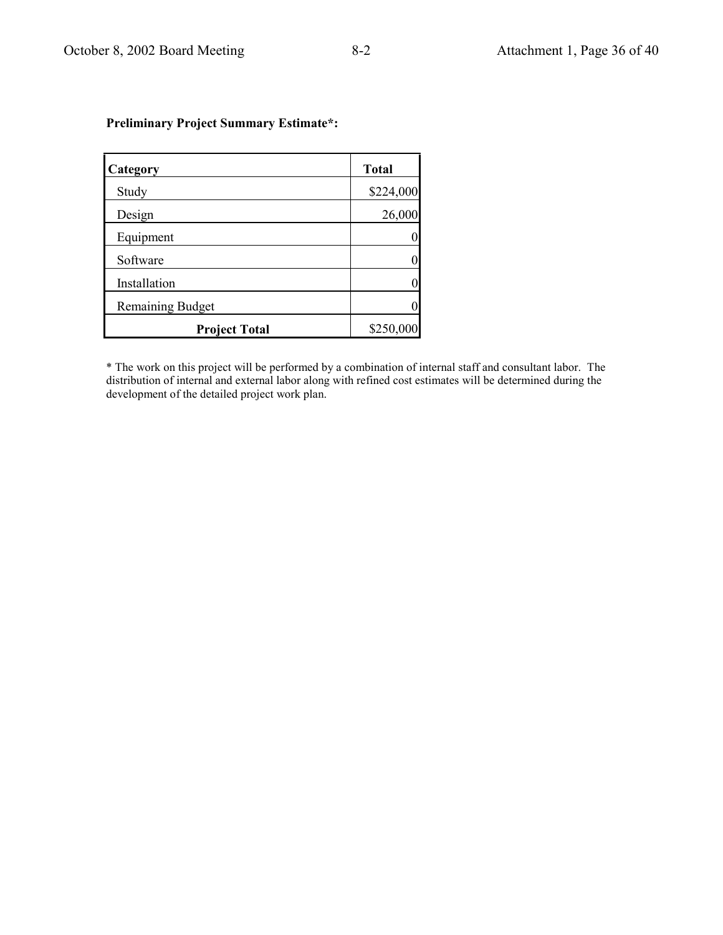| Category                | <b>Total</b>   |
|-------------------------|----------------|
| Study                   | \$224,000      |
| Design                  | 26,000         |
| Equipment               | 0              |
| Software                | $\overline{0}$ |
| Installation            | 0              |
| <b>Remaining Budget</b> | $\Omega$       |
| <b>Project Total</b>    | \$250,000      |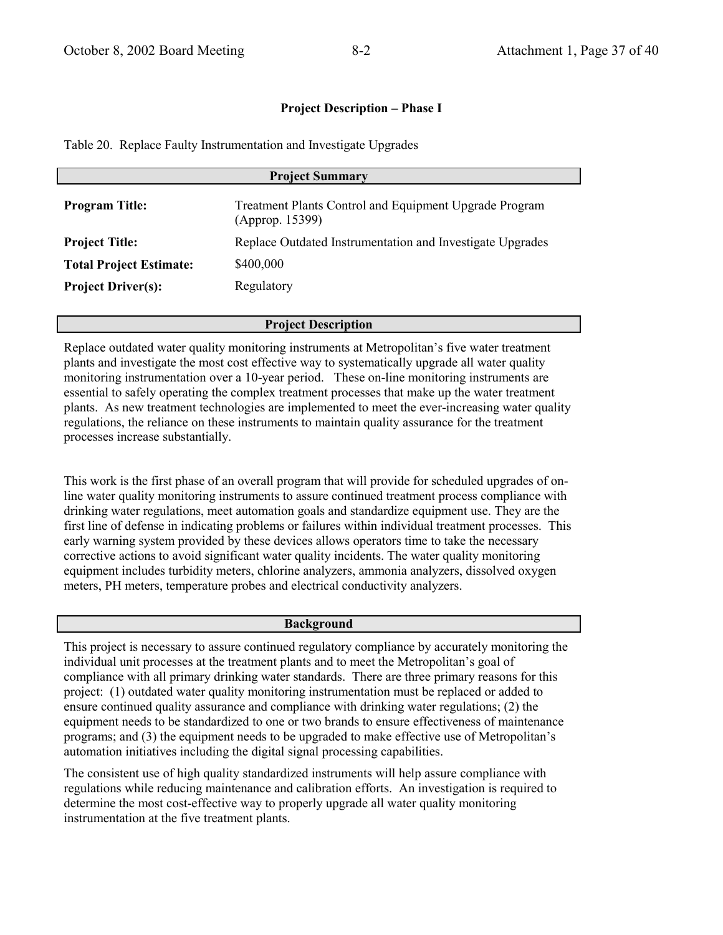Table 20. Replace Faulty Instrumentation and Investigate Upgrades

| <b>Project Summary</b>         |                                                                           |  |
|--------------------------------|---------------------------------------------------------------------------|--|
| <b>Program Title:</b>          | Treatment Plants Control and Equipment Upgrade Program<br>(Approp. 15399) |  |
| <b>Project Title:</b>          | Replace Outdated Instrumentation and Investigate Upgrades                 |  |
| <b>Total Project Estimate:</b> | \$400,000                                                                 |  |
| <b>Project Driver(s):</b>      | Regulatory                                                                |  |
|                                |                                                                           |  |

#### **Project Description**

Replace outdated water quality monitoring instruments at Metropolitan's five water treatment plants and investigate the most cost effective way to systematically upgrade all water quality monitoring instrumentation over a 10-year period. These on-line monitoring instruments are essential to safely operating the complex treatment processes that make up the water treatment plants. As new treatment technologies are implemented to meet the ever-increasing water quality regulations, the reliance on these instruments to maintain quality assurance for the treatment processes increase substantially.

This work is the first phase of an overall program that will provide for scheduled upgrades of online water quality monitoring instruments to assure continued treatment process compliance with drinking water regulations, meet automation goals and standardize equipment use. They are the first line of defense in indicating problems or failures within individual treatment processes. This early warning system provided by these devices allows operators time to take the necessary corrective actions to avoid significant water quality incidents. The water quality monitoring equipment includes turbidity meters, chlorine analyzers, ammonia analyzers, dissolved oxygen meters, PH meters, temperature probes and electrical conductivity analyzers.

#### **Background**

This project is necessary to assure continued regulatory compliance by accurately monitoring the individual unit processes at the treatment plants and to meet the Metropolitan's goal of compliance with all primary drinking water standards. There are three primary reasons for this project: (1) outdated water quality monitoring instrumentation must be replaced or added to ensure continued quality assurance and compliance with drinking water regulations; (2) the equipment needs to be standardized to one or two brands to ensure effectiveness of maintenance programs; and (3) the equipment needs to be upgraded to make effective use of Metropolitan's automation initiatives including the digital signal processing capabilities.

The consistent use of high quality standardized instruments will help assure compliance with regulations while reducing maintenance and calibration efforts. An investigation is required to determine the most cost-effective way to properly upgrade all water quality monitoring instrumentation at the five treatment plants.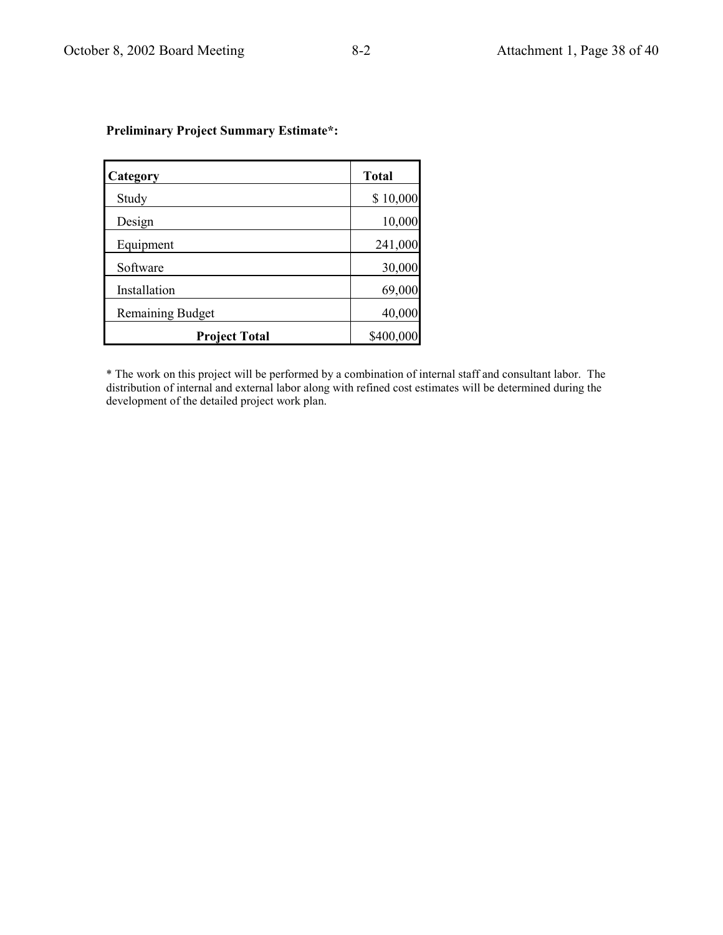| Category                | <b>Total</b> |
|-------------------------|--------------|
| Study                   | \$10,000     |
| Design                  | 10,000       |
| Equipment               | 241,000      |
| Software                | 30,000       |
| Installation            | 69,000       |
| <b>Remaining Budget</b> | 40,000       |
| <b>Project Total</b>    | \$400,000    |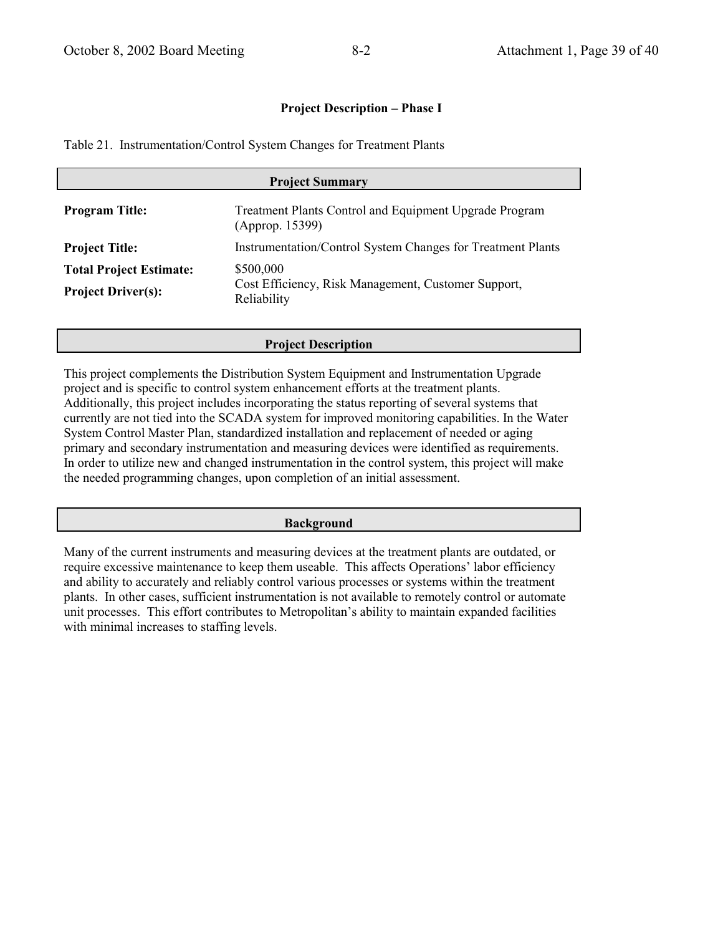Table 21. Instrumentation/Control System Changes for Treatment Plants

| <b>Project Summary</b>                                      |                                                                                 |  |
|-------------------------------------------------------------|---------------------------------------------------------------------------------|--|
| <b>Program Title:</b>                                       | Treatment Plants Control and Equipment Upgrade Program<br>(Approp. 15399)       |  |
| <b>Project Title:</b>                                       | <b>Instrumentation/Control System Changes for Treatment Plants</b>              |  |
| <b>Total Project Estimate:</b><br><b>Project Driver(s):</b> | \$500,000<br>Cost Efficiency, Risk Management, Customer Support,<br>Reliability |  |

## **Project Description**

This project complements the Distribution System Equipment and Instrumentation Upgrade project and is specific to control system enhancement efforts at the treatment plants. Additionally, this project includes incorporating the status reporting of several systems that currently are not tied into the SCADA system for improved monitoring capabilities. In the Water System Control Master Plan, standardized installation and replacement of needed or aging primary and secondary instrumentation and measuring devices were identified as requirements. In order to utilize new and changed instrumentation in the control system, this project will make the needed programming changes, upon completion of an initial assessment.

### **Background**

Many of the current instruments and measuring devices at the treatment plants are outdated, or require excessive maintenance to keep them useable. This affects Operations' labor efficiency and ability to accurately and reliably control various processes or systems within the treatment plants. In other cases, sufficient instrumentation is not available to remotely control or automate unit processes. This effort contributes to Metropolitan's ability to maintain expanded facilities with minimal increases to staffing levels.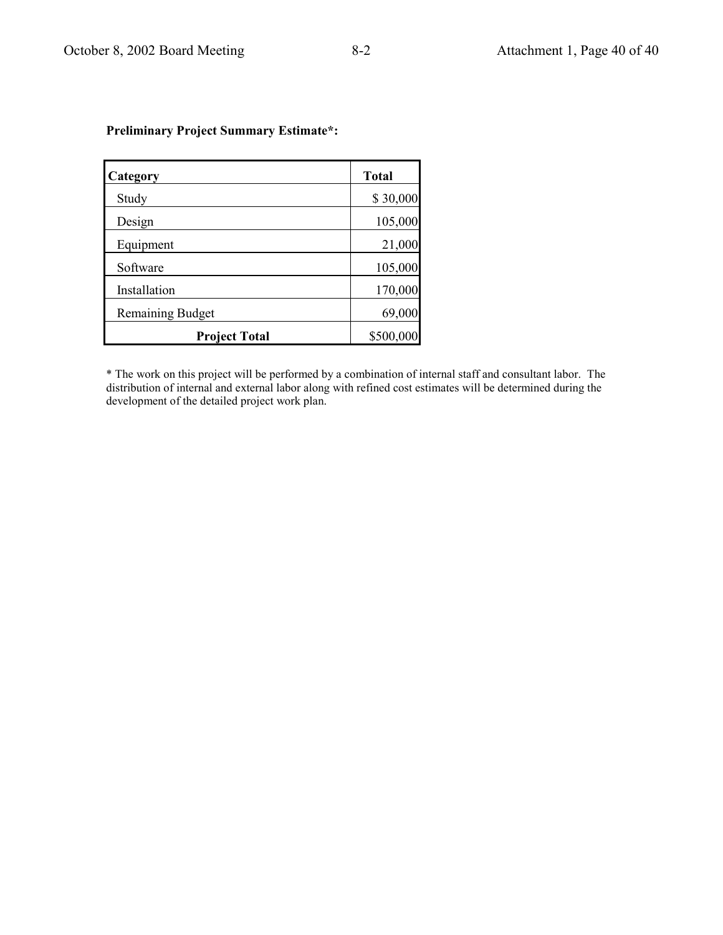| Category                | <b>Total</b> |
|-------------------------|--------------|
| Study                   | \$30,000     |
| Design                  | 105,000      |
| Equipment               | 21,000       |
| Software                | 105,000      |
| Installation            | 170,000      |
| <b>Remaining Budget</b> | 69,000       |
| <b>Project Total</b>    | \$500,000    |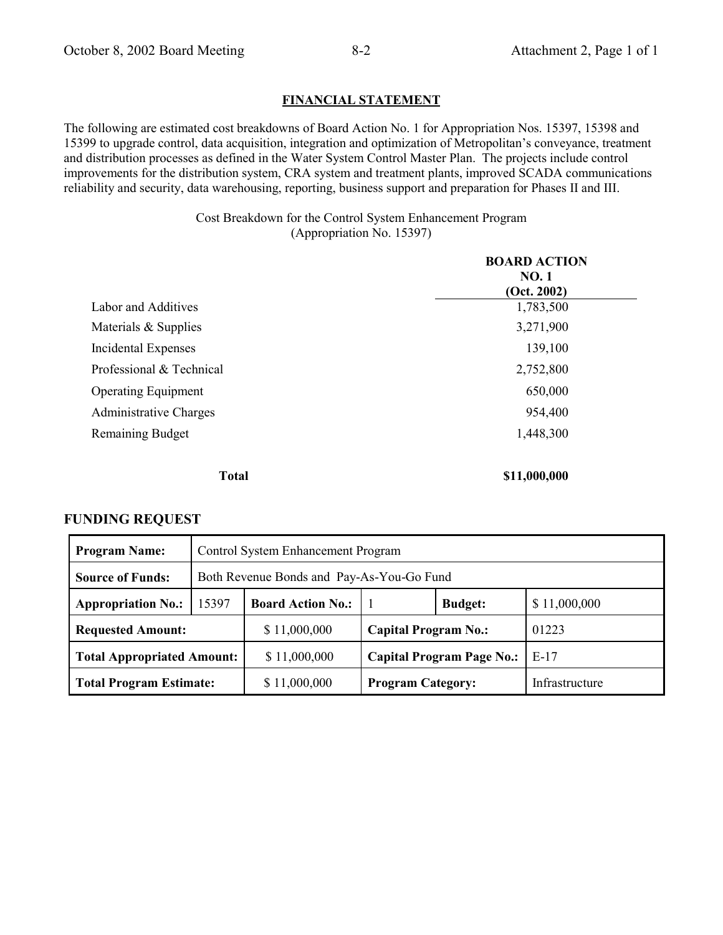### **FINANCIAL STATEMENT**

The following are estimated cost breakdowns of Board Action No. 1 for Appropriation Nos. 15397, 15398 and 15399 to upgrade control, data acquisition, integration and optimization of Metropolitan's conveyance, treatment and distribution processes as defined in the Water System Control Master Plan. The projects include control improvements for the distribution system, CRA system and treatment plants, improved SCADA communications reliability and security, data warehousing, reporting, business support and preparation for Phases II and III.

> Cost Breakdown for the Control System Enhancement Program (Appropriation No. 15397)

|                               | <b>BOARD ACTION</b><br><b>NO.1</b><br>(Oct. 2002) |
|-------------------------------|---------------------------------------------------|
| Labor and Additives           | 1,783,500                                         |
| Materials & Supplies          | 3,271,900                                         |
| Incidental Expenses           | 139,100                                           |
| Professional & Technical      | 2,752,800                                         |
| <b>Operating Equipment</b>    | 650,000                                           |
| <b>Administrative Charges</b> | 954,400                                           |
| <b>Remaining Budget</b>       | 1,448,300                                         |
| <b>Total</b>                  | \$11,000,000                                      |

### **FUNDING REQUEST**

| <b>Program Name:</b>              | Control System Enhancement Program                                         |                                                            |                                            |  |  |
|-----------------------------------|----------------------------------------------------------------------------|------------------------------------------------------------|--------------------------------------------|--|--|
| <b>Source of Funds:</b>           | Both Revenue Bonds and Pay-As-You-Go Fund                                  |                                                            |                                            |  |  |
| <b>Appropriation No.:</b>         | 15397                                                                      | \$11,000,000<br><b>Board Action No.:</b><br><b>Budget:</b> |                                            |  |  |
| <b>Requested Amount:</b>          |                                                                            | \$11,000,000                                               | 01223<br><b>Capital Program No.:</b>       |  |  |
| <b>Total Appropriated Amount:</b> |                                                                            | \$11,000,000                                               | <b>Capital Program Page No.:</b><br>$E-17$ |  |  |
|                                   | \$11,000,000<br><b>Total Program Estimate:</b><br><b>Program Category:</b> |                                                            | Infrastructure                             |  |  |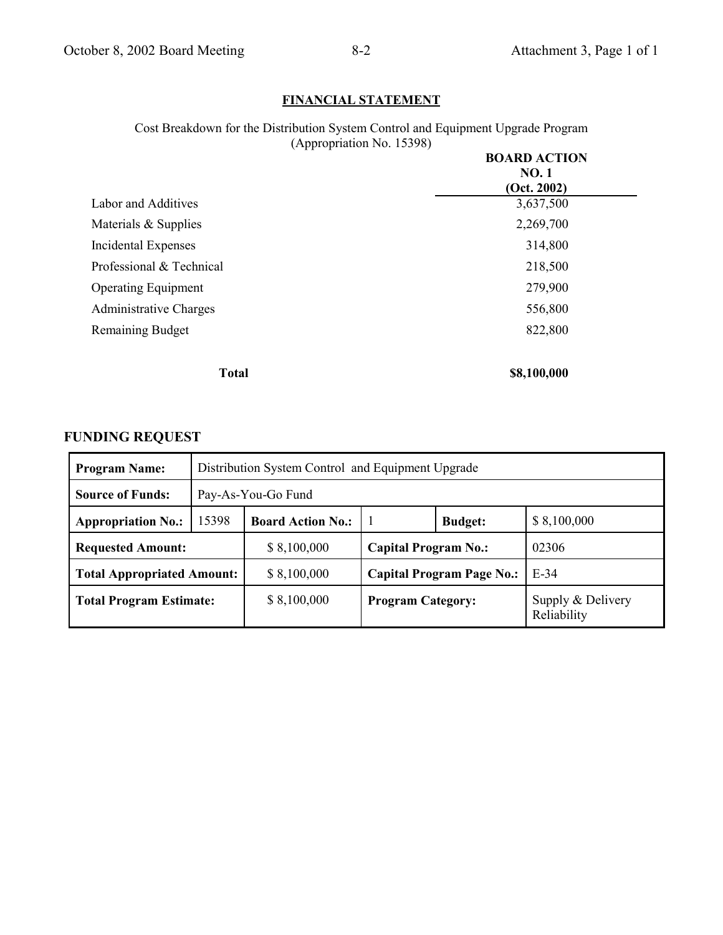## **FINANCIAL STATEMENT**

Cost Breakdown for the Distribution System Control and Equipment Upgrade Program (Appropriation No. 15398) **BOARD ACTION**

|                               | BOARD ACTION<br><b>NO.1</b><br>(Oct. 2002) |
|-------------------------------|--------------------------------------------|
| <b>Labor and Additives</b>    | 3,637,500                                  |
| Materials & Supplies          | 2,269,700                                  |
| <b>Incidental Expenses</b>    | 314,800                                    |
| Professional & Technical      | 218,500                                    |
| <b>Operating Equipment</b>    | 279,900                                    |
| <b>Administrative Charges</b> | 556,800                                    |
| <b>Remaining Budget</b>       | 822,800                                    |
| <b>Total</b>                  | \$8,100,000                                |

## **FUNDING REQUEST**

| <b>Program Name:</b>              | Distribution System Control and Equipment Upgrade |                                                           |                                            |  |                                  |
|-----------------------------------|---------------------------------------------------|-----------------------------------------------------------|--------------------------------------------|--|----------------------------------|
| <b>Source of Funds:</b>           |                                                   | Pay-As-You-Go Fund                                        |                                            |  |                                  |
| <b>Appropriation No.:</b>         | 15398                                             | <b>Board Action No.:</b><br>\$8,100,000<br><b>Budget:</b> |                                            |  |                                  |
| <b>Requested Amount:</b>          |                                                   | \$8,100,000                                               | 02306<br><b>Capital Program No.:</b>       |  |                                  |
| <b>Total Appropriated Amount:</b> |                                                   | \$8,100,000                                               | $E-34$<br><b>Capital Program Page No.:</b> |  |                                  |
| <b>Total Program Estimate:</b>    |                                                   | \$8,100,000                                               | <b>Program Category:</b>                   |  | Supply & Delivery<br>Reliability |